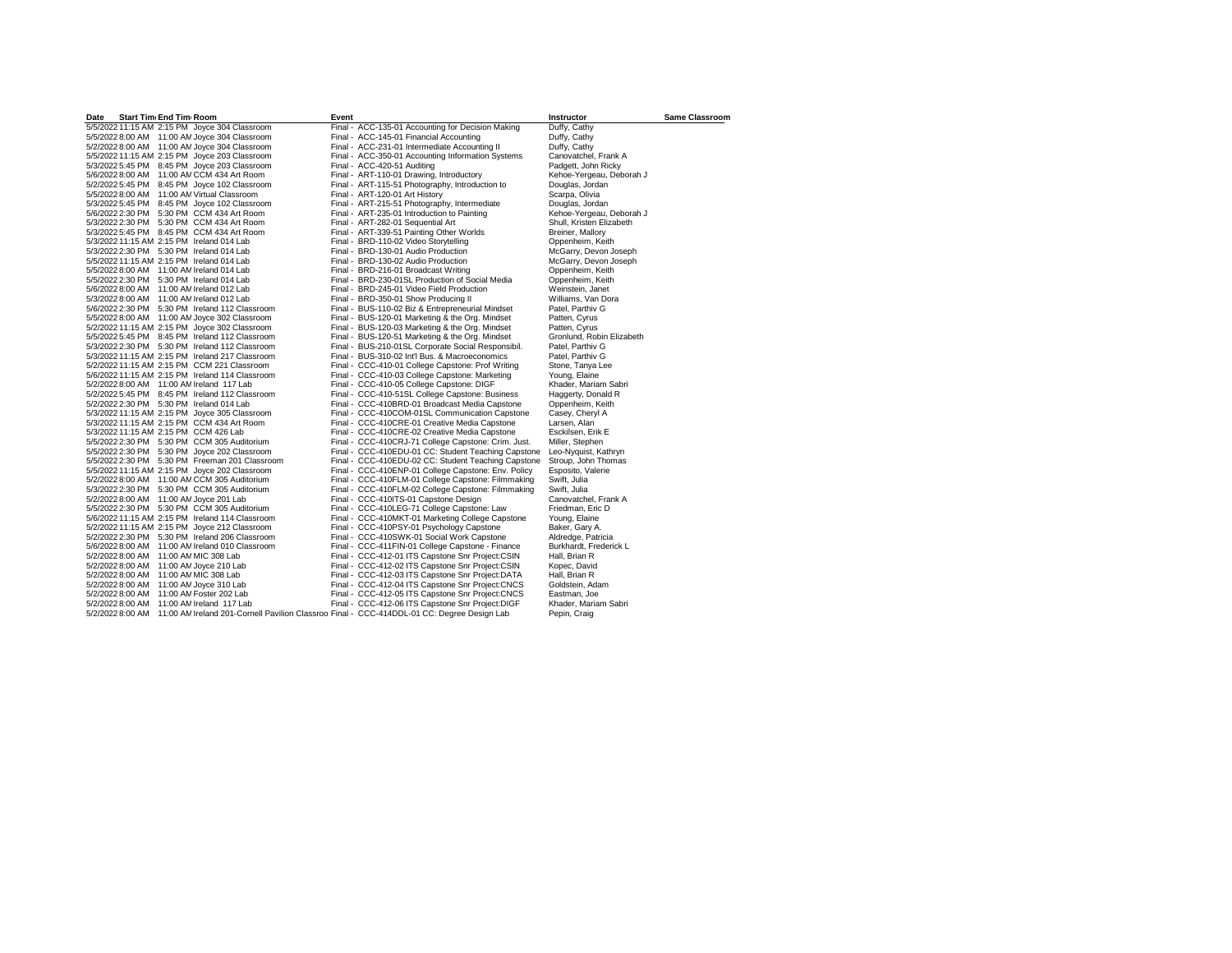| Start Tim End Tim Room<br>Date                                                                                 | Event |                                                     | Instructor                | <b>Same Classroom</b> |
|----------------------------------------------------------------------------------------------------------------|-------|-----------------------------------------------------|---------------------------|-----------------------|
| 5/5/2022 11:15 AM 2:15 PM Joyce 304 Classroom                                                                  |       | Final - ACC-135-01 Accounting for Decision Making   | Duffy, Cathy              |                       |
| 5/5/2022 8:00 AM 11:00 AM Joyce 304 Classroom                                                                  |       | Final - ACC-145-01 Financial Accounting             | Duffy, Cathy              |                       |
| 5/2/2022 8:00 AM 11:00 AM Joyce 304 Classroom                                                                  |       | Final - ACC-231-01 Intermediate Accounting II       | Duffy, Cathy              |                       |
| 5/5/2022 11:15 AM 2:15 PM Joyce 203 Classroom                                                                  |       | Final - ACC-350-01 Accounting Information Systems   | Canovatchel, Frank A      |                       |
| 5/3/2022 5:45 PM 8:45 PM Joyce 203 Classroom                                                                   |       | Final - ACC-420-51 Auditing                         | Padgett, John Ricky       |                       |
| 5/6/2022 8:00 AM 11:00 AM CCM 434 Art Room                                                                     |       | Final - ART-110-01 Drawing, Introductory            | Kehoe-Yergeau, Deborah J  |                       |
| 5/2/2022 5:45 PM<br>8:45 PM Joyce 102 Classroom                                                                |       | Final - ART-115-51 Photography, Introduction to     | Douglas, Jordan           |                       |
| 11:00 AM Virtual Classroom<br>5/5/2022 8:00 AM                                                                 |       | Final - ART-120-01 Art History                      | Scarpa, Olivia            |                       |
| 5/3/2022 5:45 PM 8:45 PM Joyce 102 Classroom                                                                   |       | Final - ART-215-51 Photography, Intermediate        | Douglas, Jordan           |                       |
|                                                                                                                |       |                                                     |                           |                       |
| 5:30 PM CCM 434 Art Room<br>5/6/2022 2:30 PM                                                                   |       | Final - ART-235-01 Introduction to Painting         | Kehoe-Yergeau, Deborah J  |                       |
| 5/3/2022 2:30 PM<br>5:30 PM CCM 434 Art Room                                                                   |       | Final - ART-282-01 Sequential Art                   | Shull, Kristen Elizabeth  |                       |
| 5/3/2022 5:45 PM 8:45 PM CCM 434 Art Room                                                                      |       | Final - ART-339-51 Painting Other Worlds            | Breiner, Mallory          |                       |
| 5/3/2022 11:15 AM 2:15 PM Ireland 014 Lab                                                                      |       | Final - BRD-110-02 Video Storytelling               | Oppenheim, Keith          |                       |
| 5/3/2022 2:30 PM 5:30 PM Ireland 014 Lab                                                                       |       | Final - BRD-130-01 Audio Production                 | McGarry, Devon Joseph     |                       |
| 5/5/2022 11:15 AM 2:15 PM Ireland 014 Lab                                                                      |       | Final - BRD-130-02 Audio Production                 | McGarry, Devon Joseph     |                       |
| 5/5/2022 8:00 AM 11:00 AM Ireland 014 Lab                                                                      |       | Final - BRD-216-01 Broadcast Writing                | Oppenheim, Keith          |                       |
| 5/5/2022 2:30 PM<br>5:30 PM Ireland 014 Lab                                                                    |       | Final - BRD-230-01SL Production of Social Media     | Oppenheim, Keith          |                       |
| 5/6/2022 8:00 AM<br>11:00 AM Ireland 012 Lab                                                                   |       | Final - BRD-245-01 Video Field Production           | Weinstein, Janet          |                       |
| 5/3/2022 8:00 AM<br>11:00 AM Ireland 012 Lab                                                                   |       | Final - BRD-350-01 Show Producing II                | Williams, Van Dora        |                       |
| 5/6/2022 2:30 PM<br>5:30 PM Ireland 112 Classroom                                                              |       | Final - BUS-110-02 Biz & Entrepreneurial Mindset    | Patel, Parthiv G          |                       |
| 5/5/2022 8:00 AM 11:00 AM Joyce 302 Classroom                                                                  |       | Final - BUS-120-01 Marketing & the Org. Mindset     | Patten, Cyrus             |                       |
| 5/2/2022 11:15 AM 2:15 PM Jovce 302 Classroom                                                                  |       | Final - BUS-120-03 Marketing & the Org. Mindset     | Patten, Cyrus             |                       |
| 5/5/2022 5:45 PM 8:45 PM Ireland 112 Classroom                                                                 |       | Final - BUS-120-51 Marketing & the Org. Mindset     | Gronlund, Robin Elizabeth |                       |
| 5/3/2022 2:30 PM 5:30 PM Ireland 112 Classroom                                                                 |       | Final - BUS-210-01SL Corporate Social Responsibil.  | Patel, Parthiv G          |                       |
| 5/3/2022 11:15 AM 2:15 PM Ireland 217 Classroom                                                                |       | Final - BUS-310-02 Int'l Bus. & Macroeconomics      | Patel, Parthiv G          |                       |
| 5/2/2022 11:15 AM 2:15 PM CCM 221 Classroom                                                                    |       | Final - CCC-410-01 College Capstone: Prof Writing   | Stone, Tanva Lee          |                       |
| 5/6/2022 11:15 AM 2:15 PM Ireland 114 Classroom                                                                |       | Final - CCC-410-03 College Capstone: Marketing      | Young, Elaine             |                       |
| 5/2/2022 8:00 AM 11:00 AM Ireland 117 Lab                                                                      |       | Final - CCC-410-05 College Capstone: DIGF           | Khader, Mariam Sabri      |                       |
| 5/2/2022 5:45 PM 8:45 PM Ireland 112 Classroom                                                                 |       | Final - CCC-410-51SL College Capstone: Business     | Haggerty, Donald R        |                       |
| 5/2/2022 2:30 PM 5:30 PM Ireland 014 Lab                                                                       |       | Final - CCC-410BRD-01 Broadcast Media Capstone      | Oppenheim, Keith          |                       |
| 5/3/2022 11:15 AM 2:15 PM Joyce 305 Classroom                                                                  |       | Final - CCC-410COM-01SL Communication Capstone      | Casey, Cheryl A           |                       |
| 5/3/2022 11:15 AM 2:15 PM CCM 434 Art Room                                                                     |       | Final - CCC-410CRE-01 Creative Media Capstone       | Larsen, Alan              |                       |
| 5/3/2022 11:15 AM 2:15 PM CCM 426 Lab                                                                          |       | Final - CCC-410CRE-02 Creative Media Capstone       | Esckilsen, Erik E         |                       |
|                                                                                                                |       |                                                     | Miller, Stephen           |                       |
| 5/5/2022 2:30 PM 5:30 PM CCM 305 Auditorium                                                                    |       | Final - CCC-410CRJ-71 College Capstone: Crim. Just. |                           |                       |
| 5/5/2022 2:30 PM 5:30 PM Joyce 202 Classroom                                                                   |       | Final - CCC-410EDU-01 CC: Student Teaching Capstone | Leo-Nyquist, Kathryn      |                       |
| 5/5/2022 2:30 PM 5:30 PM Freeman 201 Classroom                                                                 |       | Final - CCC-410EDU-02 CC: Student Teaching Capstone | Stroup, John Thomas       |                       |
| 5/5/2022 11:15 AM 2:15 PM Joyce 202 Classroom                                                                  |       | Final - CCC-410ENP-01 College Capstone: Env. Policy | Esposito, Valerie         |                       |
| 5/2/2022 8:00 AM 11:00 AM CCM 305 Auditorium                                                                   |       | Final - CCC-410FLM-01 College Capstone: Filmmaking  | Swift, Julia              |                       |
| 5/3/2022 2:30 PM<br>5:30 PM CCM 305 Auditorium                                                                 |       | Final - CCC-410FLM-02 College Capstone: Filmmaking  | Swift, Julia              |                       |
| 5/2/2022 8:00 AM<br>11:00 AM Joyce 201 Lab                                                                     |       | Final - CCC-410ITS-01 Capstone Design               | Canovatchel, Frank A      |                       |
| 5/5/2022 2:30 PM 5:30 PM CCM 305 Auditorium                                                                    |       | Final - CCC-410LEG-71 College Capstone: Law         | Friedman, Eric D          |                       |
| 5/6/2022 11:15 AM 2:15 PM Ireland 114 Classroom                                                                |       | Final - CCC-410MKT-01 Marketing College Capstone    | Young, Elaine             |                       |
| 5/2/2022 11:15 AM 2:15 PM Joyce 212 Classroom                                                                  |       | Final - CCC-410PSY-01 Psychology Capstone           | Baker, Gary A.            |                       |
| 5/2/2022 2:30 PM<br>5:30 PM Ireland 206 Classroom                                                              |       | Final - CCC-410SWK-01 Social Work Capstone          | Aldredge, Patricia        |                       |
| 5/6/2022 8:00 AM<br>11:00 AM Ireland 010 Classroom                                                             |       | Final - CCC-411FIN-01 College Capstone - Finance    | Burkhardt, Frederick L    |                       |
| 5/2/2022 8:00 AM<br>11:00 AM MIC 308 Lab                                                                       |       | Final - CCC-412-01 ITS Capstone Snr Project:CSIN    | Hall, Brian R             |                       |
| 5/2/2022 8:00 AM<br>11:00 AM Joyce 210 Lab                                                                     |       | Final - CCC-412-02 ITS Capstone Snr Project:CSIN    | Kopec, David              |                       |
| 5/2/2022 8:00 AM<br>11:00 AM MIC 308 Lab                                                                       |       | Final - CCC-412-03 ITS Capstone Snr Project:DATA    | Hall, Brian R             |                       |
| 5/2/2022 8:00 AM<br>11:00 AM Joyce 310 Lab                                                                     |       | Final - CCC-412-04 ITS Capstone Snr Project:CNCS    | Goldstein, Adam           |                       |
| 5/2/2022 8:00 AM<br>11:00 AM Foster 202 Lab                                                                    |       | Final - CCC-412-05 ITS Capstone Snr Project:CNCS    | Eastman, Joe              |                       |
| 5/2/2022 8:00 AM<br>11:00 AM Ireland 117 Lab                                                                   |       | Final - CCC-412-06 ITS Capstone Snr Project:DIGF    | Khader, Mariam Sabri      |                       |
| 11:00 AM Ireland 201-Cornell Pavilion Classroo Final - CCC-414DDL-01 CC: Degree Design Lab<br>5/2/2022 8:00 AM |       |                                                     | Pepin, Craig              |                       |
|                                                                                                                |       |                                                     |                           |                       |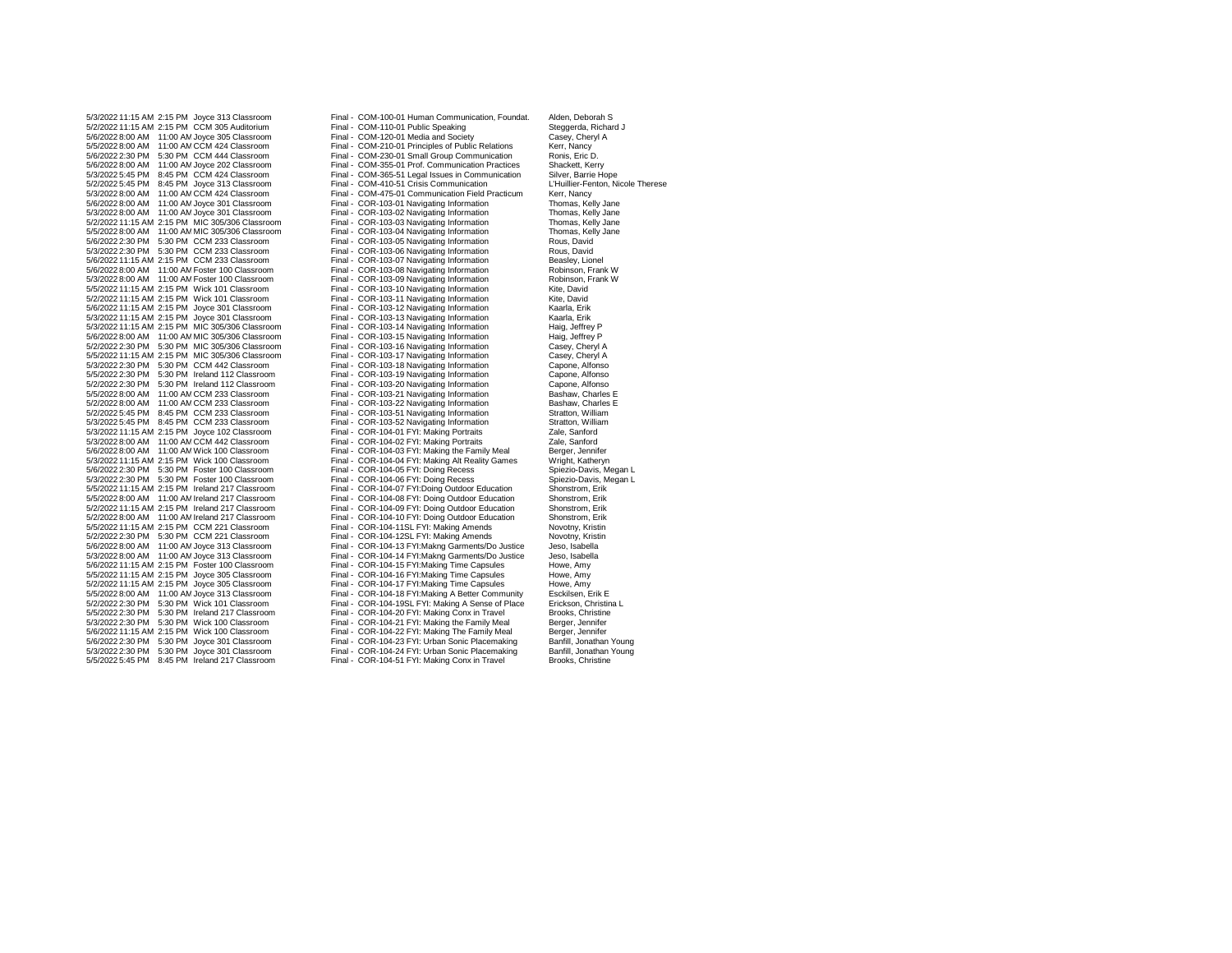5/2/2022 5:45 PM 8:45 PM Joyce 313 Classroom<br>5/3/2022 8:00 AM 11:00 AM CCM 424 Classroom 5/5/2022 5:45 PM 8:45 PM Ireland 217 Classroom

5/3/2022 11:15 AM 2:15 PM Joyce 313 Classroom Final - COM-100-01 Human Communication, Foundat. Alden, Deborah S<br>5/2/2022 11:15 AM 2:15 PM CCM 305 Auditorium Final - COM-110-01 Public Speaking Steagerda, Richard J 5/2/2022 11:15 AM 2:15 PM CCM 305 Auditorium Final - COM-110-01 Public Speaking Steggerda, Richard Steggerda, Richard J<br>5/6/2022 8:00 AM 11:00 AM Joyce 305 Classroom Final - COM-120-01 Media and Society Casey, Cheryl A 5/6/2022 8:00 AM 11:00 AM Joyce 305 Classroom Final - COM-120-01 Media and Society Casey, Cheryl Casey, Cheryl<br>5/5/2022 8:00 AM 11:00 AM CCM 424 Classroom Final - COM-210-01 Principles of Public Relations Kerr, Nancy 5/5/2022 8:00 AM 11:00 AM CCM 424 Classroom Final - COM-210-01 Principles of Public Relations Kerr, Nancy<br>5/6/2022 2:30 PM 5:30 PM CCM 444 Classroom Final - COM-230-01 Small Group Communication Ronis, Eric D. Final - COM-230-01 Small Group Communication Ronis, Eric D.<br>5.1201 - Final - COM-355-01 Prof. Communication Practices Shackett. Kerry 5/6/2022 8:00 AM 11:00 AMJoyce 202 Classroom Final - COM-355-01 Prof. Communication Practices Shackett, Kerry Final - COM-365-51 Legal Issues in Communication Silver, Barrie Hope<br>
Final - COM-410-51 Crisis Communication Silver, Barrie Hope L'Huillier-Fenton, Nicole Therese 5/3/2022 8:00 AM 11:00 AM CCM 424 Classroom Final - COM-475-01 Communication Field Practicum Kerr, Nancy<br>5/6/2022 8:00 AM 11:00 AM Joyce 301 Classroom Final - COR-103-01 Navigating Information Finomas, Kelly Jane Final - COR-103-01 Navigating Information Thomas, Kelly Jane<br>
Final - COR-103-02 Navigating Information Thomas, Kelly Jane 5/3/2022 8:00 AM 11:00 AMJoyce 301 Classroom Final - COR-103-02 Navigating Information Thomas, Kelly Jane 5/2/2022 11:15 AM 2:15 PM MIC 305/306 Classroom Final - COR-103-03 Navigating Information Thomas, Kelly Jane 5/5/2022 8:00 AM 11:00 AM MIC 305/306 Classroom Final - COR-103-04 Navigating Information Thomas, Kell<br>5/6/2022 2:30 PM 5:30 PM CCM 233 Classroom Final - COR-103-05 Navigating Information Rous, David 5/6/2022 2:30 PM 5:30 PM CCM 233 Classroom Final - COR-103-05 Navigating Information Rous, David 5/3/2022 2:30 PM 5:30 PM CCM 233 Classroom Final - COR-103-06 Navigating Information Rous, David 5/6/2022 11:15 AM 2:15 PM CCM 233 Classroom Final - COR-103-07 Navigating Information Beasley, Lionel<br>5/6/2022 8:00 AM 11:00 AM Foster 100 Classroom Final - COR-103-08 Navigating Information Robinson, Frank W 5/6/2022 8:00 AM 11:00 AMFoster 100 Classroom Final - COR-103-08 Navigating Information Robinson, Frank W 5/3/2022 8:00 AM 11:00 AM Foster 100 Classroom Final - COR-103-09 Navigating Information Robinson, Robinson, F<br>5/5/2022 11:15 AM 2:15 PM Wick 101 Classroom Final - COR-103-10 Navigating Information Kite. David Final - COR-103-10 Navigating Information Kite, David<br>
Final - COR-103-11 Navigating Information Kite, David 5/2/2022 11:15 AM 2:15 PM Wick 101 Classroom Final - COR-103-11 Navigating Information Kite, David 5/6/2022 11:15 AM 2:15 PM Joyce 301 Classroom Final - COR-103-12 Navigating Information Kaarla, Erik 5/3/2022 11:15 AM 2:15 PM Joyce 301 Classroom Final - COR-103-13 Navigating Information Kaarla, Erik<br>5/3/2022 11:15 AM 2:15 PM MIC 305/306 Classroom Final - COR-103-14 Navigating Information Haig, Jeffrey P 5/3/2022 11:15 AM 2:15 PM MIC 305/306 Classroom Final - COR-103-14 Navigating Information Haig, Jeffrey P 5/6/2022 8:00 AM 11:00 AMMIC 305/306 Classroom Final - COR-103-15 Navigating Information Haig, Jeffrey P 5/2/2022 2:30 PM 5:30 PM MIC 305/306 Classroom Final - COR-103-16 Navigating Information Casey, Cheryl A 5/5/2022 11:15 AM 2:15 PM MIC 305/306 Classroom Final - COR-103-17 Navigating Information Casey, Cheryl A 5/3/2022 2:30 PM 5:30 PM CCM 442 Classroom Final - COR-103-18 Navigating Information Capone, Alfonso 5/5/2022 2:30 PM 5:30 PM Ireland 112 Classroom Final - COR-103-19 Navigating Information Capone, Alfonso 5/2/2022 2:30 PM 5:30 PM Ireland 112 Classroom Final - COR-103-20 Navigating Information Capone, Alfonso 5/5/2022 8:00 AM 11:00 AMCCM 233 Classroom Final - COR-103-21 Navigating Information Bashaw, Charles E 5/2/2022 8:00 AM 11:00 AM CCM 233 Classroom Final - COR-103-22 Navigating Information Bashaw, Charles Bashaw, Charles Entry Corp. COR-103-51 Navigating Information Stratton. William Final COR-103-51 Navigating Information Stratton, William<br>
Final - COR-103-52 Navigating Information Stratton, William 5/3/2022 5:45 PM 8:45 PM CCM 233 Classroom Final - COR-103-52 Navigating Information Stratton, Willia<br>5/3/2022 11:15 AM 2:15 PM Joyce 102 Classroom Final - COR-104-01 FYI: Making Portraits Zale, Sanford 5/3/2022 11:15 AM 2:15 PM Joyce 102 Classroom Final - COR-104-01 FYI: Making Portraits Zale, Sanford 5/3/2022 8:00 AM 11:00 AM CCM 442 Classroom Final - COR-104-02 FYI: Making Portraits Zale, Sanford<br>5/6/2022 8:00 AM 11:00 AM Wick 100 Classroom Final - COR-104-03 FYI: Making the Family Meal Berger, Jennifer 5/6/2022 8:00 AM 11:00 AMWick 100 Classroom Final - COR-104-03 FYI: Making the Family Meal Berger, Jennifer Final - COR-104-04 FYI: Making Alt Reality Games Wright, Katheryn<br>
Final - COR-104-05 FYI: Doing Recess Spiezio-Davis, Megan L 5/6/2022 2:30 PM 5:30 PM Foster 100 Classroom Final - COR-104-05 FYI: Doing Recess Spiezio-Davis, Megan L<br>5/3/2022 2:30 PM 5:30 PM Foster 100 Classroom Final - COR-104-06 FYI: Doing Recess Spiezio-Davis, Megan L 5/3/2022 2:30 PM 5:30 PM Foster 100 Classroom Final - COR-104-06 FYI: Doing Recess Spiezio-Davis, N<br>5/5/2022 11:15 AM 2:15 PM Ireland 217 Classroom Final - COR-104-07 FYI: Doing Outdoor Education Shonstrom, Erik 5/5/2022 11:15 AM 2:15 PM Ireland 217 Classroom Final - COR-104-07 FYI:Doing Outdoor Education Shonstrom, Erik<br>5/5/2022 8:00 AM 11:00 AM Ireland 217 Classroom Final - COR-104-08 FYI: Doing Outdoor Education Shonstrom, Erik 5/5/2022 8:00 AM 11:00 AM Ireland 217 Classroom Final - COR-104-08 FYI: Doing Outdoor Education Shonstrom, Erik<br>5/2/2022 11:15 AM 2:15 PM Ireland 217 Classroom Final - COR-104-09 FYI: Doing Outdoor Education Shonstrom, Eri 5/2/2022 11:15 AM 2:15 PM Ireland 217 Classroom Final - COR-104-09 FYI: Doing Outdoor Education Shonstrom, Erik Final - COR-104-10 FYI: Doing Outdoor Education Shonstrom, Erik<br>
Final - COR-104-11SL FYI: Making Amends Novotny, Kristin 5/5/2022 11:15 AM 2:15 PM CCM 221 Classroom Final - COR-104-11SL FYI: Making Amends Novotny, Kristin 5/2/2022 2:30 PM 5:30 PM CCM 221 Classroom Final - COR-104-12SL FYI: Making Amends Movotny, Kristing Amends Novotny, Kristing Amends Novotny, Kristing Amends Novotny, Kristing Amends 5/6/2022 8:00 AM 11:00 AM Joyce 313 Cla 5/6/2022 8:00 AM 11:00 AMJoyce 313 Classroom Final - COR-104-13 FYI:Makng Garments/Do Justice Jeso, Isabella Final - COR-104-14 FYI:Makng Garments/Do Justice Jeso, Isabel<br>Final - COR-104-15 FYI:Making Time Capsules Howe, Amy 5/6/2022 11:15 AM 2:15 PM Foster 100 Classroom Final - COR-104-15 FYI:Making Time Capsules Howe, Amy 5/5/2022 11:15 AM 2:15 PM Joyce 305 Classroom Final - COR-104-16 FYI:Making Time Capsules Howe, Amy 5/2/2022 11:15 AM 2:15 PM Joyce 305 Classroom Final - COR-104-17 FYI:Making Time Capsules Howe, Amy 5/5/2022 8:00 AM 11:00 AMJoyce 313 Classroom Final - COR-104-18 FYI:Making A Better Community Esckilsen, Erik E Final - COR-104-19SL FYI: Making A Sense of Place Erickson, Christin<br>Final - COR-104-20 FYI: Making Conx in Travel Brooks, Christine 5/5/2022 2:30 PM 5:30 PM Ireland 217 Classroom Final - COR-104-20 FYI: Making Conx in Travel Brooks, Christine<br>5/3/2022 2:30 PM 5:30 PM Wick 100 Classroom Final - COR-104-21 FYI: Making the Family Meal Berger, Jennifer 5/3/2022 2:30 PM 5:30 PM Wick 100 Classroom Final - COR-104-21 FYI: Making the Family Meal Berger, Jennifer Final - COR-104-22 FYI: Making The Family Meal Berger, Jennifer<br>
Final - COR-104-23 FYI: Urban Sonic Placemaking Banfill, Jonathan Young 5/6/2022 2:30 PM 5:30 PM Joyce 301 Classroom Final - COR-104-23 FYI: Urban Sonic Placemaking Banfill, Jonathan Young 5/3/2022 2:30 PM 5:30 PM Joyce 301 Classroom Final - COR-104-24 FYI: Urban Sonic Placemaking Banfill, Jonathan Young<br>5/5/2022 5:45 PM 8:45 PM Ireland 217 Classroom Final - COR-104-51 FYI: Making Conx in Travel Brooks, Chri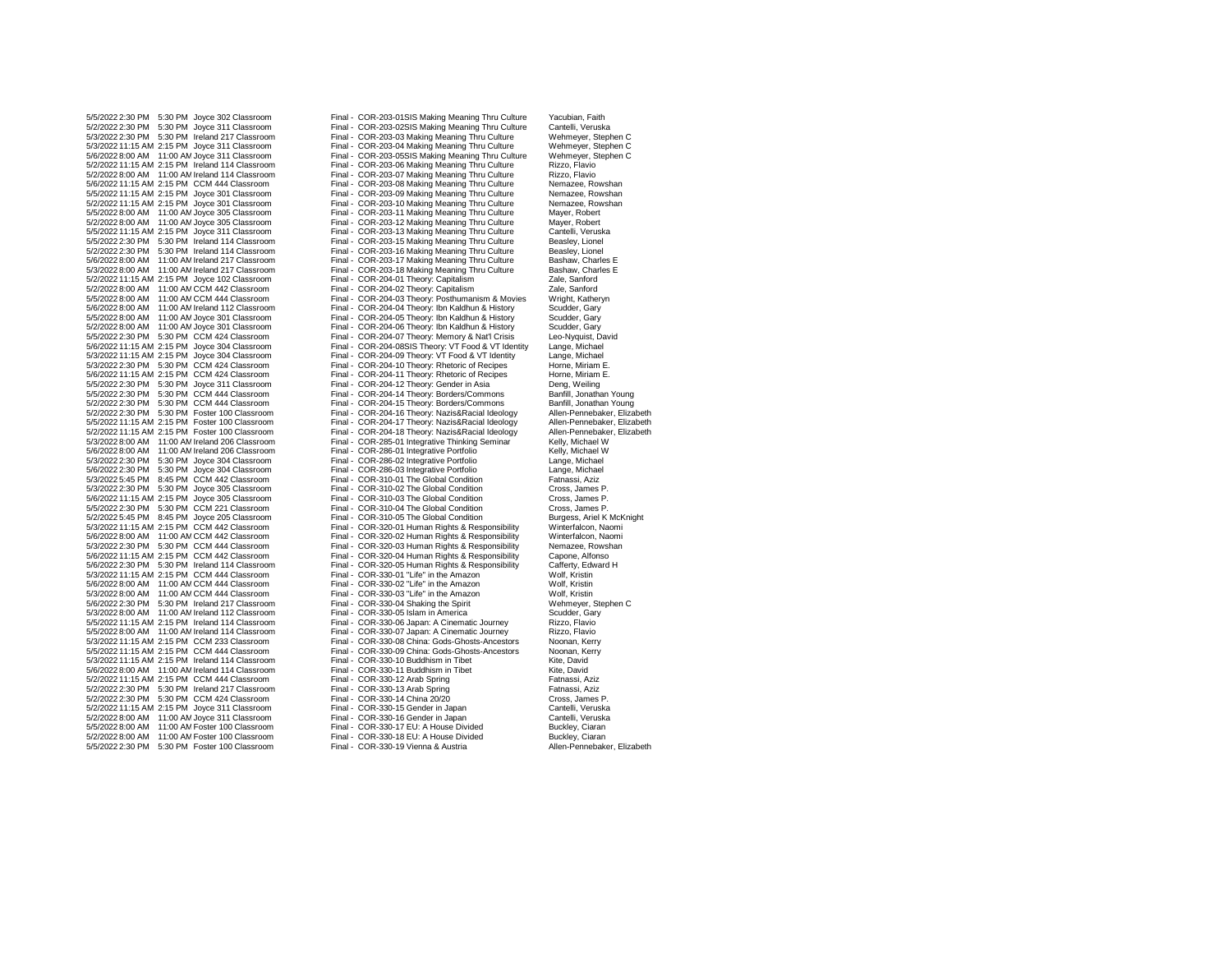5/3/2022 11:15 AM 2:15 PM Ireland 114 Classroom Final - COR-330-10 Buddhism in Tibet Kite, David Tibet Kite, D<br>5/6/2022 8:00 AM 11:00 AM Ireland 114 Classroom Final - COR-330-11 Buddhism in Tibet 5/2/2022 8:00 AM 11:00 AM Joyce 311 Classroom Final - COR-330-16 Gender in Japan Cantelli, Verweise 31 Classroom Final - COR-330-17 EU: A House Divided 5/2/2022 8:00 AM 11:00 AM Foster 100 Classroom Final - COR-330-18 EU: A House Divided Buckley, Ciaran Buckley, Ciaran Buckley, Ciaran Buckley, Ciaran Buckley, Ciaran Buckley, Ciaran Buckley, Ciaran Buckley, Ciaran Buckley, 5/5/2022 2:30 PM 5:30 PM Foster 100 Classroom

5/5/2022 2:30 PM 5:30 PM Joyce 302 Classroom Final - COR-203-01SIS Making Meaning Thru Culture Yacubian, Faith<br>5/2/2022 2:30 PM 5:30 PM Joyce 311 Classroom Final - COR-203-02SIS Making Meaning Thru Culture Cantelli, Verusk Final - COR-203-02SIS Making Meaning Thru Culture Cantelli, Veruska<br>
Final - COR-203-03 Making Meaning Thru Culture Wehmeyer, Stephen C 5/3/2022 2:30 PM 5:30 PM Ireland 217 Classroom Final - COR-203-03 Making Meaning Thru Culture Wehmeyer, Stephen C 5/3/2022 11:15 AM 2:15 PM Joyce 311 Classroom Final - COR-203-04 Making Meaning Thru Culture Wehmeyer, Stephen C 5/6/2022 8:00 AM 11:00 AM Joyce 311 Classroom Final - COR-203-05SIS Making Meaning Thru Culture Wehmeyer, Stephen Culture Correct Correct Correct Correct Correct Correct Correct Correct Correct Correct Correct Correct Corr Final - COR-203-06 Making Meaning Thru Culture Rizzo, Flavio<br>5.15 Final - COR-203-07 Making Meaning Thru Culture Rizzo, Flavio 5/2/2022 8:00 AM 11:00 AMIreland 114 Classroom Final - COR-203-07 Making Meaning Thru Culture Rizzo, Flavio 5/6/2022 11:15 AM 2:15 PM CCM 444 Classroom Final - COR-203-08 Making Meaning Thru Culture Nemazee, Rowshan 5/5/2022 11:15 AM 2:15 PM Joyce 301 Classroom Final - COR-203-09 Making Meaning Thru Culture Nemazee, Rowshan Final - COR-203-10 Making Meaning Thru Culture Nemazee, Row<br>Final - COR-203-11 Making Meaning Thru Culture Mayer, Robert 5/5/2022 8:00 AM 11:00 AMJoyce 305 Classroom Final - COR-203-11 Making Meaning Thru Culture Mayer, Robert 5/2/2022 8:00 AM 11:00 AMJoyce 305 Classroom Final - COR-203-12 Making Meaning Thru Culture Mayer, Robert Final - COR-203-13 Making Meaning Thru Culture Cantelli, Veruska<br>
Final - COR-203-15 Making Meaning Thru Culture Beasley, Lionel 5/5/2022 2:30 PM 5:30 PM Ireland 114 Classroom Final - COR-203-15 Making Meaning Thru Culture Beasley, Lionel 5/2/2022 2:30 PM 5:30 PM Ireland 114 Classroom Final - COR-203-16 Making Meaning Thru Culture Beasley, Lionel 5/6/2022 8:00 AM 11:00 AMIreland 217 Classroom Final - COR-203-17 Making Meaning Thru Culture Bashaw, Charles E Final - COR-203-18 Making Meaning Thru Culture Bashaw, Charles Final - COR-204-01 Theory: Capitalism Zale, Sanford 5/2/2022 11:15 AM 2:15 PM Joyce 102 Classroom Final - COR-204-01 Theory: Capitalism Zale, Sanford 5/2/2022 8:00 AM 11:00 AM CCM 442 Classroom Final - COR-204-02 Theory: Capitalism Zale, Sanford Zale, Sanford<br>5/5/2022 8:00 AM 11:00 AM CCM 444 Classroom Final - COR-204-03 Theory: Posthumanism & Movies Wright, Katheryn 5/5/2022 8:00 AM 11:00 AM CCM 444 Classroom Final - COR-204-03 Theory: Posthumanism & Movies Wright, Katheryn<br>5/6/2022 8:00 AM 11:00 AM Ireland 112 Classroom Final - COR-204-04 Theory: Ibn Kaldhun & History Scudder, Gary 5/6/2022 8:00 AM 11:00 AMIreland 112 Classroom Final - COR-204-04 Theory: Ibn Kaldhun & History Scudder, Gary 5/5/2022 8:00 AM 11:00 AMJoyce 301 Classroom Final - COR-204-05 Theory: Ibn Kaldhun & History Scudder, Gary 5/2/2022 8:00 AM 11:00 AMJoyce 301 Classroom Final - COR-204-06 Theory: Ibn Kaldhun & History Scudder, Gary 5/5/2022 2:30 PM 5:30 PM CCM 424 Classroom Final - COR-204-07 Theory: Memory & Nat'l Crisis Leo-Nyquist, David<br>5/6/2022 11:15 AM 2:15 PM Joyce 304 Classroom Final - COR-204-08SIS Theory: VT Food & VT Identity Lange, Michae 5/6/2022 11:15 AM 2:15 PM Joyce 304 Classroom Final - COR-204-08SIS Theory: VT Food & VT Identity Lange, Michael Final - COR-204-09 Theory: VT Food & VT Identity Lange, Michael<br>Final - COR-204-10 Theory: Rhetoric of Recipes Horne, Miriam E. 5/3/2022 2:30 PM 5:30 PM CCM 424 Classroom Final - COR-204-10 Theory: Rhetoric of Recipes Horne, Miriam E.<br>5/6/2022 11:15 AM 2:15 PM CCM 424 Classroom Final - COR-204-11 Theory: Rhetoric of Recipes Horne, Miriam E. 5/6/2022 11:15 AM 2:15 PM CCM 424 Classroom Final - COR-204-11 Theory: Rhetoric of Recipes Horne, Miriam I<br>5/5/2022 2:30 PM 5:30 PM Joyce 311 Classroom Final - COR-204-12 Theory: Gender in Asia Deng, Weiling 5/5/2022 2:30 PM 5:30 PM Joyce 311 Classroom Final - COR-204-12 Theory: Gender in Asia Deng, Weiling<br>5/5/2022 2:30 PM 5:30 PM CCM 444 Classroom Final - COR-204-14 Theory: Borders/Commons Banfill, Jonathan Young 5/5/2022 2:30 PM 5:30 PM CCM 444 Classroom Final - COR-204-14 Theory: Borders/Commons Banfill, Jonathan Young 5/2/2022 2:30 PM 5:30 PM CCM 444 Classroom Final - COR-204-15 Theory: Borders/Commons Banfill, Jonathan Young<br>5/2/2022 2:30 PM 5:30 PM Foster 100 Classroom Final - COR-204-16 Theory: Nazis&Racial Ideology Allen-Pennebaker, 5/2/2022 2:30 PM 5:30 PM Foster 100 Classroom Final - COR-204-16 Theory: Nazis&Racial Ideology Allen-Pennebaker, Elizabeth Final - COR-204-17 Theory: Nazis&Racial Ideology Allen-Pennebaker, Elizabeth<br>Final - COR-204-18 Theory: Nazis&Racial Ideology Allen-Pennebaker, Elizabeth 5/2/2022 11:15 AM 2:15 PM Foster 100 Classroom Final - COR-204-18 Theory: Nazis&Racial Ideology Allen-Pennebake<br>15/3/2022 8:00 AM 11:00 AM Ireland 206 Classroom Final - COR-285-01 Integrative Thinking Seminar Kelly, Michae 5/3/2022 8:00 AM 11:00 AM Ireland 206 Classroom Final - COR-285-01 Integrative Thinking Seminar Kelly, Michael W<br>5/6/2022 8:00 AM 11:00 AM Ireland 206 Classroom Final - COR-286-01 Integrative Portfolio Kelly, Michael W 5/6/2022 8:00 AM 11:00 AM Ireland 206 Classroom Final - COR-286-01 Integrative Portfolio Kelly, Michael V<br>5/3/2022 2:30 PM 5:30 PM Jovce 304 Classroom Final - COR-286-02 Integrative Portfolio Lange. Michael 5/3/2022 2:30 PM 5:30 PM Joyce 304 Classroom Final - COR-286-02 Integrative Portfolio Lange, Michael 5/6/2022 2:30 PM 5:30 PM Joyce 304 Classroom Final - COR-286-03 Integrative Portfolio Lange, Michael 5/3/2022 5:45 PM 8:45 PM CCM 442 Classroom Final - COR-310-01 The Global Condition Fatnassi, Aziz 5/3/2022 2:30 PM 5:30 PM Joyce 305 Classroom Final - COR-310-02 The Global Condition Cross, James P. 5/6/2022 11:15 AM 2:15 PM Joyce 305 Classroom Final - COR-310-03 The Global Condition Cross, James P. Final - COR-310-04 The Global Condition Cross, James P.<br>
Final - COR-310-05 The Global Condition Burgess, Ariel K McKnight 5/2/2022 5:45 PM 8:45 PM Joyce 205 Classroom Final - COR-310-05 The Global Condition Burgess, Ariel K McKnight<br>5/3/2022 11:15 AM 2:15 PM CCM 442 Classroom Final - COR-320-01 Human Rights & Responsibility Winterfalcon. Naom Final - COR-320-01 Human Rights & Responsibility Winterfalcon, Naomin<br>Final - COR-320-02 Human Rights & Responsibility Winterfalcon, Naomin 5/6/2022 8:00 AM 11:00 AMCCM 442 Classroom Final - COR-320-02 Human Rights & Responsibility Winterfalcon, Naomi 5/3/2022 2:30 PM 5:30 PM CCM 444 Classroom Final - COR-320-03 Human Rights & Responsibility Nemazee, Rowsh<br>5/6/2022 11:15 AM 2:15 PM CCM 442 Classroom Final - COR-320-04 Human Rights & Responsibility Capone, Alfonso 5/6/2022 11:15 AM 2:15 PM CCM 442 Classroom Final - COR-320-04 Human Rights & Responsibility Capone, Alfonso Final - COR-320-05 Human Rights & Responsibility Cafferty, Edward 11, COR-330-01 "Life" in the Amazon Wolf. Kristin 5/3/2022 11:15 AM 2:15 PM CCM 444 Classroom Final - COR-330-01 "Life" in the Amazon Wolf, Kristin 5/6/2022 8:00 AM 11:00 AMCCM 444 Classroom Final - COR-330-02 "Life" in the Amazon Wolf, Kristin 5/3/2022 8:00 AM 11:00 AMCCM 444 Classroom Final - COR-330-03 "Life" in the Amazon Wolf, Kristin 5/6/2022 2:30 PM 5:30 PM Ireland 217 Classroom Final - COR-330-04 Shaking the Spirit Wehmeyer, Stephen COR-330-05 Scudder, Gary<br>5/3/2022 8:00 AM 11:00 AM Ireland 112 Classroom Final - COR-330-05 Islam in America 5/3/2022 8:00 AM 11:00 AM Ireland 112 Classroom Final - COR-330-05 Islam in America Scudder, Gary<br>5/5/2022 11:15 AM 2:15 PM Ireland 114 Classroom Final - COR-330-06 Japan: A Cinematic Journey Rizzo, Flavio 5/5/2022 11:15 AM 2:15 PM Ireland 114 Classroom Final - COR-330-06 Japan: A Cinematic Journey Rizzo, Flavio 5/5/2022 8:00 AM 11:00 AMIreland 114 Classroom Final - COR-330-07 Japan: A Cinematic Journey Rizzo, Flavio Final - COR-330-08 China: Gods-Ghosts-Ancestors Noonan, Kerry<br>5/330-09 China: Gods-Ghosts-Ancestors Noonan, Kerry 5/5/2022 11:15 AM 2:15 PM CCM 444 Classroom Final - COR-330-09 China: Gods-Ghosts-Ancestors Noonan, Kerry 15/3/<br>5/3/2022 11:15 AM 2:15 PM Ireland 114 Classroom Final - COR-330-10 Buddhism in Tibet Kite, David 5/6/2022 8:00 AM 11:00 AM Ireland 114 Classroom Final - COR-330-11 Buddhism in Tibet Kite, David<br>5/2/2022 11:15 AM 2:15 PM CCM 444 Classroom Final - COR-330-12 Arab Spring Fatnassi, Aziz 5/2/2022 11:15 AM 2:15 PM CCM 444 Classroom Final - COR-330-12 Arab Spring Fatnassi, Aziz 5/2/2022 2:30 PM 5:30 PM Ireland 217 Classroom Final - COR-330-13 Arab Spring Fatnassi, Aziz 5/2/2022 2:30 PM 5:30 PM CCM 424 Classroom Final - COR-330-14 China 20/20<br>5/2/2022 11:15 AM 2:15 PM Joyce 311 Classroom Final - COR-330-15 Gender in Japan Cantelli, Veruska 5/2/2022 11:15 AM 2:15 PM Joyce 311 Classroom Final - COR-330-15 Gender in Japan Cantelli, Veruska 5/5/2022 8:00 AM 11:00 AMFoster 100 Classroom Final - COR-330-17 EU: A House Divided Buckley, Ciaran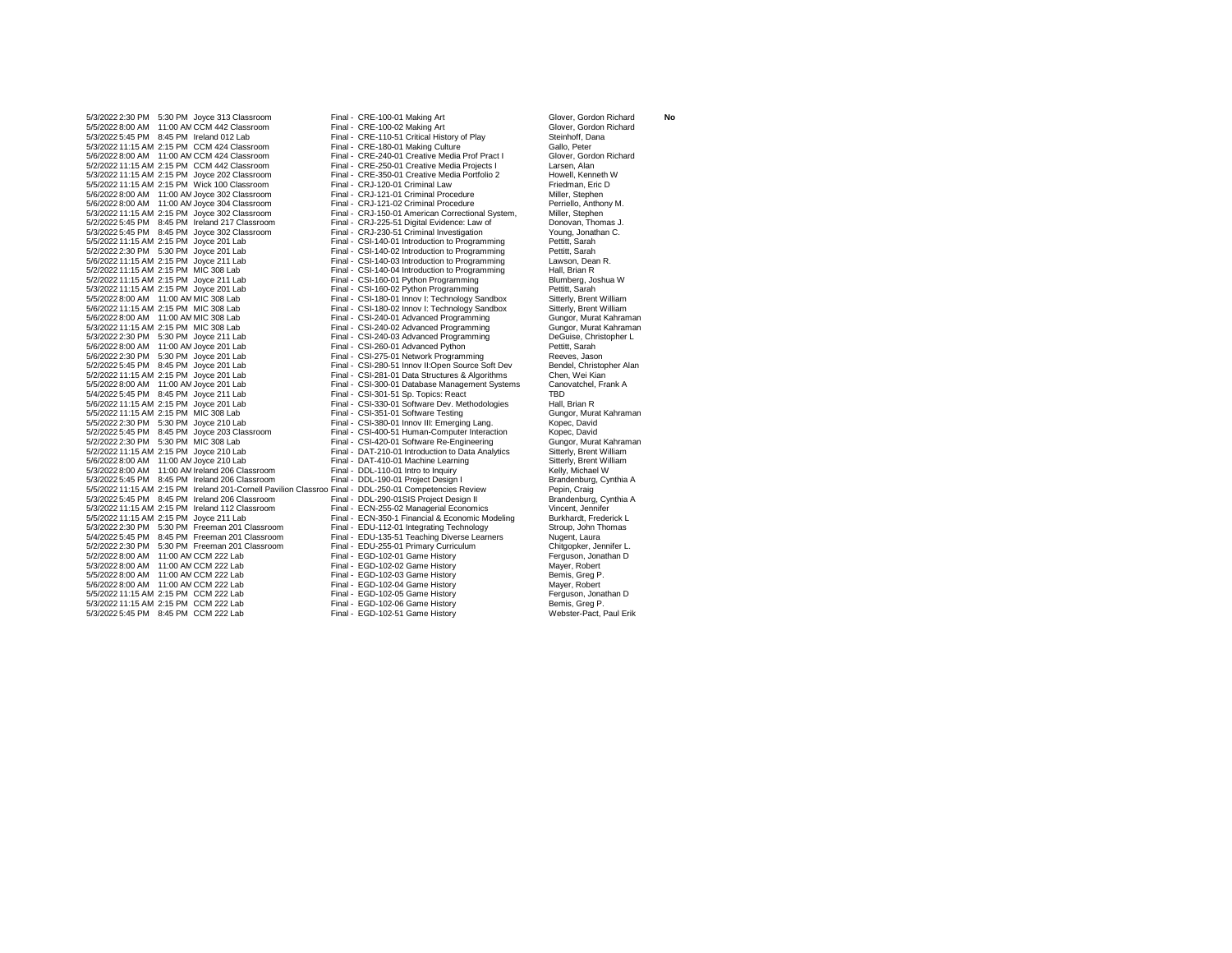5/3/2022 2:30 PM 5:30 PM Joyce 313 Classroom Final - CRE-100-01 Making Art Glover, Gordon Richard **No** 5/5/2022 8:00 AM 11:00 AM CCM 442 Classroom Final - CRE-100-02 Making Art Glover, Gordon Glover, Gordon Final - CRE-100-02 Making Art Glover, Gordon Glover, Gordon Final - CRE-100-02 Making Art Glover, Gordon Glover, Gordo 5/3/2022 5:45 PM 8:45 PM Ireland 012 Lab Final - CRE-110-51 Critical History of Play Steinhoff, Dana<br>5/3/2022 11:15 AM 2:15 PM CCM 424 Classroom Final - CRE-180-01 Making Culture Gallo, Peter 5/3/2022 11:15 AM 2:15 PM CCM 424 Classroom Final - CRE-180-01 Making Culture Gallo, Peter Gallo, Peter<br>5/6/2022 8:00 AM 11:00 AM CCM 424 Classroom Final - CRE-240-01 Creative Media Prof Pract I Glover, Gordon Richard 5/6/2022 8:00 AM 11:00 AM CCM 424 Classroom Final - CRE-240-01 Creative Media Prof Pract I Glover, Gordon Bract I Glover, Gordon Richard Bract I Glover, Gordon Richard Richard Richard Richard Fract I Glover, Gordon Richard 5/2/2022 11:15 AM 2:15 PM CCM 442 Classroom Final - CRE-250-01 Creative Media Projects I Larsen, Alan 5/3/2022 11:15 AM 2:15 PM Joyce 202 Classroom Final - CRE-350-01 Creative Media Portfolio 2 Howell, Kenneth \<br>5/5/2022 11:15 AM 2:15 PM Wick 100 Classroom Final - CRJ-120-01 Criminal Law Friedman. Eric D 5/5/2022 11:15 AM 2:15 PM Wick 100 Classroom Final - CRJ-120-01 Criminal Law Friedman, Eric D 5/6/2022 8:00 AM 11:00 AMJoyce 302 Classroom Final - CRJ-121-01 Criminal Procedure Miller, Stephen 5/6/2022 8:00 AM 11:00 AM Joyce 304 Classroom Final - CRJ-121-02 Criminal Procedure Perriello, Anthony Perriello, Anthony Final - CRJ-121-02 Criminal Procedure Perriello, Anthony Miller, Stephen 5/2/2022 5:45 PM 8:45 PM Ireland 217 Classroom Final - CRJ-225-51 Digital Evidence: Law of Donovan, Thomas J. 5/3/2022 5:45 PM 8:45 PM Joyce 302 Classroom<br>5/5/2022 11:15 AM 2:15 PM Jovce 201 Lab 5/5/2022 11:15 AM 2:15 PM Joyce 201 Lab Final - CSI-140-01 Introduction to Programming Pettitt, Sarah Fettitt<br>5/2/2022 2:30 PM 5:30 PM Joyce 201 Lab Final - CSI-140-02 Introduction to Programming Pettitt. Sarah 5/2/2022 2:30 PM 5:30 PM Joyce 201 Lab Final - CSI-140-02 Introduction to Programming Pettitt, Sarah 5/6/2022 11:15 AM 2:15 PM Joyce 211 Lab Final - CSI-140-03 Introduction to Programming Lawson, Dean Research Final - CSI-140-04 Introduction to Programming Hall, Brian R 5/2/2022 11:15 AM 2:15 PM Joyce 211 Lab Final - CSI-160-01 Python Programming Blumberg, Joshua Ware<br>5/3/2022 11:15 AM 2:15 PM Joyce 201 Lab Final - CSI-160-02 Python Programming Petitit, Sarah 5/3/2022 11:15 AM 2:15 PM Joyce 201 Lab Final - CSI-160-02 Python Programming Pettitt, Sarah Pettitt, Sarah Pettitt, Sarah Pettitt, Sarah Pettitt, Sarah Pettitt, Sarah Pettitt, Sarah Pettitt, Sarah Pettitt, Sarah Pettitt, 5/5/2022 8:00 AM 11:00 AM MIC 308 Lab Final - CSI-180-01 Innov I: Technology Sandbox Sitterly, Brent William<br>5/6/2022 11:15 AM 2:15 PM MIC 308 Lab Final - CSI-180-02 Innov I: Technology Sandbox Sitterly, Brent William 5/6/2022 11:15 AM 2:15 PM MIC 308 Lab Final - CSI-180-02 Innov I: Technology Sandbox Sitterly, Brent William<br>5/6/2022 8:00 AM 11:00 AM MIC 308 Lab Final - CSI-240-01 Advanced Programming Gungor, Murat Kahraman 5/6/2022 8:00 AM 11:00 AMMIC 308 Lab Final - CSI-240-01 Advanced Programming Gungor, Murat Kahraman 5/3/2022 11:15 AM 2:15 PM MIC 308 Lab Final - CSI-240-02 Advanced Programming Gungor, Murat Kahraman Gungor, Murat Kahraman Gungor, Murat Kahraman Gungor, Murat Kahraman Final - CSI-240-03 Advanced Programming DeGuise, Chr 5/6/2022 8:00 AM 11:00 AM Joyce 201 Lab Final - CSI-260-01 Advanced Python Form 11:00 AM Joyce 201 Lab Final - CSI-275-01 Network Programming 5/6/2022 2:30 PM 5:30 PM Joyce 201 Lab **Final - CSI-275-01 Network Programming** Reeves, Jason Reeves, Jason Reeves, Jason Reeves, Jason Reeves, Jason Reeves, Jason Reeves, Jason Reeves, Jason Reeves, Jason Reeves, Jason Re 5/2/2022 5:45 PM 8:45 PM Joyce 201 Lab Final - CSI-280-51 Innov II:Open Source Soft Dev Bendel, Christopher Ch<br>5/2/2022 11:15 AM 2:15 PM Joyce 201 Lab Final - CSI-281-01 Data Structures & Algorithms Chen, Wei Kian 5/2/2022 11:15 AM 2:15 PM Joyce 201 Lab Final - CSI-281-01 Data Structures & Algorithms Chen, Wei Kian 5/4/2022 5:45 PM 8:45 PM Joyce 211 Lab Final - CSI-301-51 Sp. Topics: React Final - Final - CSI-300-51 Sp. Topics: React FID<br>5/6/2022 11:15 AM 2:15 PM Joyce 201 Lab Final - CSI-330-01 Software Dev. Methodologies Hall, Bria 5/5/2022 11:15 AM 2:15 PM MIC 308 Lab Final - CSI-351-01 Software Testing Cungor, Murat Cungor, Murat CSI-360-01 Innov III: Emerging Lang Cungor, Murat Kabec. David 5/2/2022 5:45 PM 8:45 PM Joyce 203 Classroom Final - CSI-400-51 Human-Computer Interaction Kopec, David 5/2/2022 2:30 PM 5:30 PM MIC 308 Lab Final - CSI-420-01 Software Re-Engineering Gungor, Murat Kahram<br>5/2/2022 11:15 AM 2:15 PM Joyce 210 Lab Final - DAT-210-01 Introduction to Data Analytics Sitterly, Brent William 5/6/2022 8:00 AM 11:00 AM Joyce 210 Lab Final - DAT-410-01 Machine Learning S/3/2022 8:00 AM 11:00 AM Ireland 206 Classroom Final - DDL-110-01 Intro to Inquiry 5/3/2022 8:00 AM 11:00 AMIreland 206 Classroom Final - DDL-110-01 Intro to Inquiry Kelly, Michael W 5/3/2022 5:45 PM 8:45 PM Ireland 206 Classroom Final - DDL-190-01 Project Design I Brandenburg, Cynthia A<br>5/5/2022 11:15 AM 2:15 PM Ireland 201-Cornell Pavilion Classroo Final - DDL-250-01 Competencies Review Pepin. Craig 5/5/2022 11:15 AM 2:15 PM Ireland 201-Cornell Pavilion Classroo Final - DDL-250-01 Competencies Review Pepin, Craig<br>5/3/2022 5:45 PM 8:45 PM Ireland 206 Classroom Final - DDL-290-01SIS Project Design II Brandenburg, Cynthi 5/3/2022 5:45 PM 8:45 PM Ireland 206 Classroom Final - DDL-290-01SIS Project Design II Brandenburg, Cynthia Am<br>5/3/2022 11:15 AM 2:15 PM Ireland 112 Classroom Final - ECN-255-02 Managerial Economics Vincent, Jennifer 5/3/2022 11:15 AM 2:15 PM Ireland 112 Classroom Final - ECN-255-02 Managerial Economics Vincent, Jennifer 5/3/2022 2:30 PM 5:30 PM Freeman 201 Classroom Final - EDU-112-01 Integrating Technology Stroup, John T<br>5/4/2022 5:45 PM 8:45 PM Freeman 201 Classroom Final - EDU-135-51 Teaching Diverse Learners Nugent. Laura 5/4/2022 5:45 PM 8:45 PM Freeman 201 Classroom Final - EDU-135-51 Teaching Diverse Learners Nugent, Laura 5/2/2022 2:30 PM 5:30 PM Freeman 201 Classroom Final - EDU-255-01 Primary Curriculum Chitgopker, Jennifer L. 5/2/2022 8:00 AM 11:00 AM CCM 222 Lab Final - EGD-102-01 Game History Ferguson, Jonathan Discreen Communisty C<br>1991/2022 8:00 AM 11:00 AM CCM 222 Lab Final - EGD-102-02 Game History Final Mayer, Robert 5/3/2022 8:00 AM 11:00 AMCCM 222 Lab Final - EGD-102-02 Game History Mayer, Robert 5/5/2022 8:00 AM 11:00 AMCCM 222 Lab Final - EGD-102-03 Game History Bemis, Greg P. 5/6/2022 8:00 AM 11:00 AM CCM 222 Lab Final - EGD-102-04 Game History Final COM Mayer, Robert Mayer, Robert Mayer, Robert Final - EGD-102-05 Game History Final - Formula D 5/5/2022 11:15 AM 2:15 PM CCM 222 Lab Final - EGD-102-05 Game History Ferguson, Jonathan Discreence Communication CCM 222 Lab Final - EGD-102-06 Game History Ferguson, Jonathan Discreence Communication CCM 222 Lab Final - 5/3/2022 11:15 AM 2:15 PM CCM 222 Lab Final - EGD-102-06 Game History Bemis, Greg P.<br>5/3/2022 5:45 PM B:45 PM CCM 222 Lab Final - EGD-102-51 Game History Webster-Pact, Paul Erik 5/3/2022 5:45 PM 8:45 PM CCM 222 Lab

Final - CRJ-150-01 American Correctional System, Miller, Stephen<br>
Final - CRJ-225-51 Digital Evidence: Law of Donovan, Thomas J. Final - CSI-140-04 Introduction to Programming Hall, Brian R<br>
Final - CSI-160-01 Python Programming Blumberg, Joshua W Final - CSI-240-03 Advanced Programming DeGuise, Christopher 2:30 PeGuise, Christopher Lab Final - CSI-260-01 Advanced Programming DeGuise, Christopher Lab Final - CSI-260-01 Advanced Python Final - CSI-300-01 Database Management Systems Canovational - CSI-301-51 Sp. Topics: React Canovational, Frank Americanovational Final - CSI-330-01 Software Dev. Methodologies Hall, Brian R<br>12:15 Final - CSI-351-01 Software Testing Final - Gungor, Murat Kahraman 5/5/2022 2:30 PM 5:30 PM Joyce 210 Lab Final - CSI-380-01 Innov III: Emerging Lang. Kopec, David Final - DAT-210-01 Introduction to Data Analytics Sitterly, Brent William Final - DAT-410-01 Machine Learning Sitterly, Brent William Final - ECN-350-1 Financial & Economic Modeling Burkhardt, Frederick L<br>
Final - EDU-112-01 Integrating Technology Stroup, John Thomas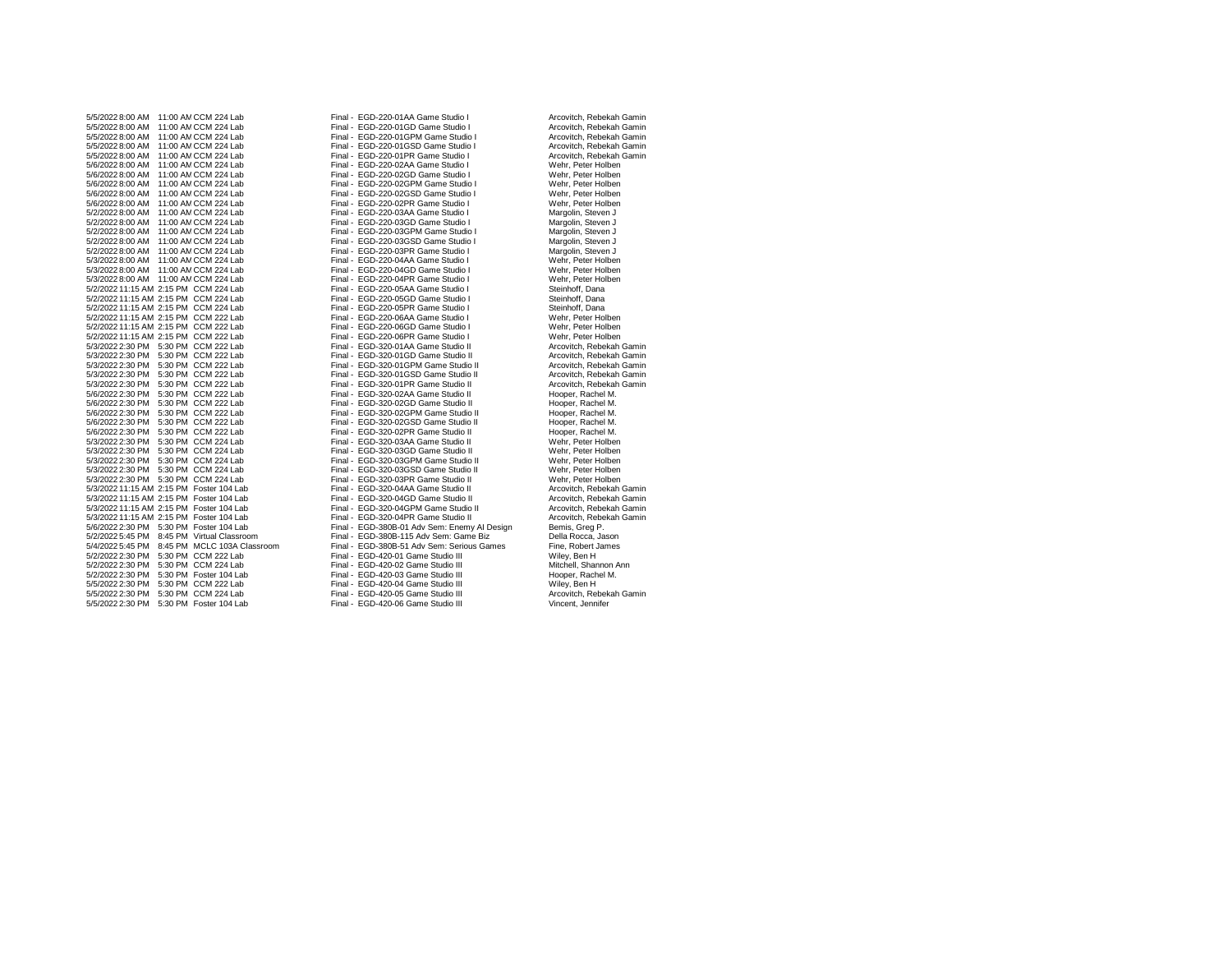5/5/2022 8:00 AM 11:00 AMCCM 224 Lab Final - EGD-220-01GD Game Studio I Arcovitch, Rebekah Gamin 5/5/2022 8:00 AM 11:00 AMCCM 224 Lab Final - EGD-220-01GPM Game Studio I Arcovitch, Rebekah Gamin 5/5/2022 8:00 AM 11:00 AM CCM 224 Lab Final - EGD-220-01PR Game Studio I Arcovitch, Rebekah Game Studio I Arcovitch, Rebekah Gamini - EGD-220-02AA Game Studio I Arcovitch, Rebekah Gamini - EGD-220-02AA Game Studio I Wehr. 5/6/2022 8:00 AM 11:00 AMCCM 224 Lab Final - EGD-220-02AA Game Studio I Wehr, Peter Holben 5/6/2022 8:00 AM 11:00 AM CCM 224 Lab Final - EGD-220-02GD Game Studio I Wehr, Peter Holben<br>5/6/2022 8:00 AM 11:00 AM CCM 224 Lab Final - EGD-220-02GPM Game Studio I Wehr, Peter Holben 5/6/2022 8:00 AM 11:00 AMCCM 224 Lab Final - EGD-220-02GPM Game Studio I Wehr, Peter Holben 5/6/2022 8:00 AM 11:00 AM CCM 224 Lab Final - EGD-220-02GSD Game Studio I Wehr, Peter Holben و 5/6/2022 8:00 AM 11:00 AM CCM 224 Lab Final - EGD-220-02PR Game Studio I 5/6/2022 8:00 AM 11:00 AM CCM 224 Lab Final - EGD-220-02PR Game Studio I Wehr, Peter Holben CV Holben For Labo<br>19/2022 8:00 AM 11:00 AM CCM 224 Lab Final - EGD-220-03AA Game Studio I Margolin, Steven J 5/2/2022 8:00 AM 11:00 AMCCM 224 Lab Final - EGD-220-03GD Game Studio I Margolin, Steven J 5/2/2022 8:00 AM 11:00 AMCCM 224 Lab Final - EGD-220-03GPM Game Studio I Margolin, Steven J 5/2/2022 8:00 AM 11:00 AMCCM 224 Lab Final - EGD-220-03GSD Game Studio I Margolin, Steven J 5/2/2022 8:00 AM 11:00 AMCCM 224 Lab Final - EGD-220-03PR Game Studio I Margolin, Steven J 5/3/2022 8:00 AM 11:00 AMCCM 224 Lab Final - EGD-220-04AA Game Studio I Wehr, Peter Holben 5/3/2022 8:00 AM 11:00 AM CCM 224 Lab Final - EGD-220-04PR Game Studio I Wehr, Peter Hol<br>5/2/2022 11:15 AM 2:15 PM CCM 224 Lab Final - Final - EGD-220-05AA Game Studio I Steinhoff. Dana 5/2/2022 11:15 AM 2:15 PM CCM 224 Lab Final - EGD-220-05AA Game Studio I Steinhoff, Dana 5/2/2022 11:15 AM 2:15 PM CCM 224 Lab Final - EGD-220-05GD Game Studio I Steinhoff, Dana 5/2/2022 11:15 AM 2:15 PM CCM 224 Lab Final - EGD-220-05PR Game Studio I Steinhoff, Dana<br>5/2/2022 11:15 AM 2:15 PM CCM 222 Lab Final - EGD-220-06AA Game Studio I Wehr, Peter Holben 5/2/2022 11:15 AM 2:15 PM CCM 222 Lab Final - EGD-220-06AA Game Studio I Wehr, Peter Holben 5/2/2022 11:15 AM 2:15 PM CCM 222 Lab Final - EGD-220-06GD Game Studio I Wehr, Peter Holben<br>5/2/2022 11:15 AM 2:15 PM CCM 222 Lab Final - EGD-220-06PR Game Studio I Wehr. Peter Holben 5/2/2022 11:15 AM 2:15 PM CCM 222 Lab Final - EGD-220-06PR Game Studio I Wehr, Peter Holben<br>5/3/2022 2:30 PM 5:30 PM CCM 222 Lab Final - EGD-320-01AA Game Studio II Arcovitch. Rebekah Gamin 5/3/2022 2:30 PM 5:30 PM CCM 222 Lab Final - EGD-320-01AA Game Studio II Arcovitch, Rebekah Gamin<br>5/3/2022 2:30 PM 5:30 PM CCM 222 Lab Final - EGD-320-01GD Game Studio II Arcovitch, Rebekah Gamin 5/3/2022 2:30 PM 5:30 PM CCM 222 Lab Final - EGD-320-01GD Game Studio II Arcovitch, Rebekah Gamin 5/3/2022 2:30 PM 5:30 PM CCM 222 Lab Final - EGD-320-01GPM Game Studio II Arcovitch, Rebekah Gamin 5/3/2022 2:30 PM 5:30 PM CCM 222 Lab Final - EGD-320-01GSD Game Studio II Arcovitch, Rebekah Gamin 5/3/2022 2:30 PM 5:30 PM CCM 222 Lab Final - EGD-320-01PR Game Studio II Arcovitch, Rebekal Game Studio II Arcovitch, Rebekah Game Studio II Arcovitch, Rebekah Game Studio II Arcovitch, Rebekah Game Studio II Beger, Rachel 5/6/2022 2:30 PM 5:30 PM CCM 222 Lab Final - EGD-320-02GD Game Studio II Hooper, Rachel M. 5/6/2022 2:30 PM 5:30 PM CCM 222 Lab Final - EGD-320-02GPM Game Studio II Hooper, Rachel M. 5/6/2022 2:30 PM 5:30 PM CCM 222 Lab Final - EGD-320-02GSD Game Studio II Hooper, Rachel M.<br>5/6/2022 2:30 PM 5:30 PM CCM 222 Lab Final - EGD-320-02PR Game Studio II Hooper, Rachel M. 5/6/2022 2:30 PM 5:30 PM CCM 222 Lab Final - EGD-320-02PR Game Studio II Hooper, Rachel M.<br>5/3/2022 2:30 PM 5:30 PM CCM 224 Lab Final - EGD-320-03AA Game Studio II Wehr, Peter Holben 5/3/2022 2:30 PM 5:30 PM CCM 224 Lab Final - EGD-320-03AA Game Studio II Wehr, Peter Holben - Wehr, Peter Holben - Final - EGD-320-03GD Game Studio II Wehr, Peter Holben 5/3/2022 2:30 PM 5:30 PM CCM 224 Lab Final - EGD-320-03GD Game Studio II Wehr, Peter Holben<br>5/3/2022 2:30 PM 5:30 PM CCM 224 Lab Final - EGD-320-03GPM Game Studio II Wehr. Peter Holben 5/3/2022 2:30 PM 5:30 PM CCM 224 Lab Final - EGD-320-03GPM Game Studio II Wehr, Peter Holben<br>5/3/2022 2:30 PM 5:30 PM CCM 224 Lab Final - EGD-320-03GSD Game Studio II Wehr. Peter Holben 5/3/2022 2:30 PM 5:30 PM CCM 224 Lab Final - EGD-320-03GSD Game Studio II Wehr, Peter Holben<br>5/3/2022 2:30 PM 5:30 PM CCM 224 Lab Final - EGD-320-03PR Game Studio II Wehr, Peter Holben 5/3/2022 2:30 PM 5:30 PM CCM 224 Lab Final - EGD-320-03PR Game Studio II Wehr, Peter Holben CV For Form For Final - EGD-320-04AA Game Studio II Arcovitch, Rebekah Gamin CV Final - EGD-320-04AA Game Studio II Arcovitch, Reb 5/3/2022 11:15 AM 2:15 PM Foster 104 Lab Final - EGD-320-04AA Game Studio II Arcovitch, Rebekah Gamin 5/3/2022 11:15 AM 2:15 PM Foster 104 Lab Final - EGD-320-04GD Game Studio II Arcovitch, Rebekah Gamin 5/3/2022 11:15 AM 2:15 PM Foster 104 Lab Final - EGD-320-04GPM Game Studio II Arcovitch, Rebekah Gamin 5/3/2022 11:15 AM 2:15 PM Foster 104 Lab Final - EGD-320-04PR Game Studio II Arcovitch, Rebe<br>5/6/2022 2:30 PM 5:30 PM Foster 104 Lab Final - EGD-380B-01 Adv Sem: Enemy AI Design Bemis, Greg P. 5/2/2022 5:45 PM 8:45 PM Virtual Classroom Final - EGD-380B-115 Adv Sem: Game Biz Della Rocca, Jason 5/4/2022 5:45 PM 8:45 PM MCLC 103A Classroom Final - EGD-380B-51 Adv Sem: Serious Games Fine, Robert J<br>5/2/2022 2:30 PM 5:30 PM CCM 222 Lab Final - EGD-420-01 Game Studio III Wiley, Ben H 5/2/2022 2:30 PM 5:30 PM CCM 222 Lab Final - EGD-420-01 Game Studio III Wiley, Ben H<br>5/2/2022 2:30 PM 5:30 PM CCM 224 Lab Final - EGD-420-02 Game Studio III Mitchell, Shannon Ann 5/2/2022 2:30 PM 5:30 PM Foster 104 Lab Final - EGD-420-03 Game Studio III For Hooper, Rach<br>5/5/2022 2:30 PM 5:30 PM CCM 222 Lab Final - EGD-420-04 Game Studio III For Miley. Ben H 5/5/2022 2:30 PM 5:30 PM CCM 222 Lab Final - EGD-420-04 Game Studio III Wiley, Ben H<br>5/5/2022 2:30 PM 5:30 PM CCM 224 Lab Final - EGD-420-05 Game Studio III Arcovitch, Rebekah Gamin 5/5/2022 2:30 PM 5:30 PM CCM 224 Lab Final - EGD-420-05 Game Studio III Arcovitch, Rebek<br>5/5/2022 2:30 PM 5:30 PM Foster 104 Lab Final - EGD-420-06 Game Studio III Vincent, Jennifer 5/5/2022 2:30 PM 5:30 PM Foster 104 Lab

5/5/2022 8:00 AM 11:00 AM CCM 224 Lab Final - EGD-220-01AA Game Studio I Arcovitch, Rebekah Gamin - Final - EGD-220-016D Game Studio I Arcovitch, Rebekah Gamin - 5/5/2022 8:00 AM - 11:00 AM CCM 224 Lab Final - EGD-220-01GD Final - EGD-220-01GSD Game Studio I and American American American Camini Final - EGD-220-01PR Game Studio I Arcovitch, Rebekah Gamini Final - EGD-220-03AA Game Studio I Margolin, Steven J<br>
Final - EGD-220-03GD Game Studio I Margolin, Steven J Final - EGD-220-04GD Game Studio I Wehr, Peter Holben<br>
Final - EGD-220-04PR Game Studio I Wehr, Peter Holben Final - EGD-320-02AA Game Studio II Hooper, Rachel M.<br>5/6/6/2020 Final - EGD-320-02GD Game Studio II Hooper, Rachel M. Final - EGD-380B-01 Adv Sem: Enemy AI Design Bemis, Greg P.<br>5.10 Final - EGD-380B-115 Adv Sem: Game Biz Bella Rocca, Jason Final - EGD-420-02 Game Studio III Mitchell, Shannon / Mitchell, Shannon / Final - EGD-420-03 Game Studio III Mitchell, Shannon /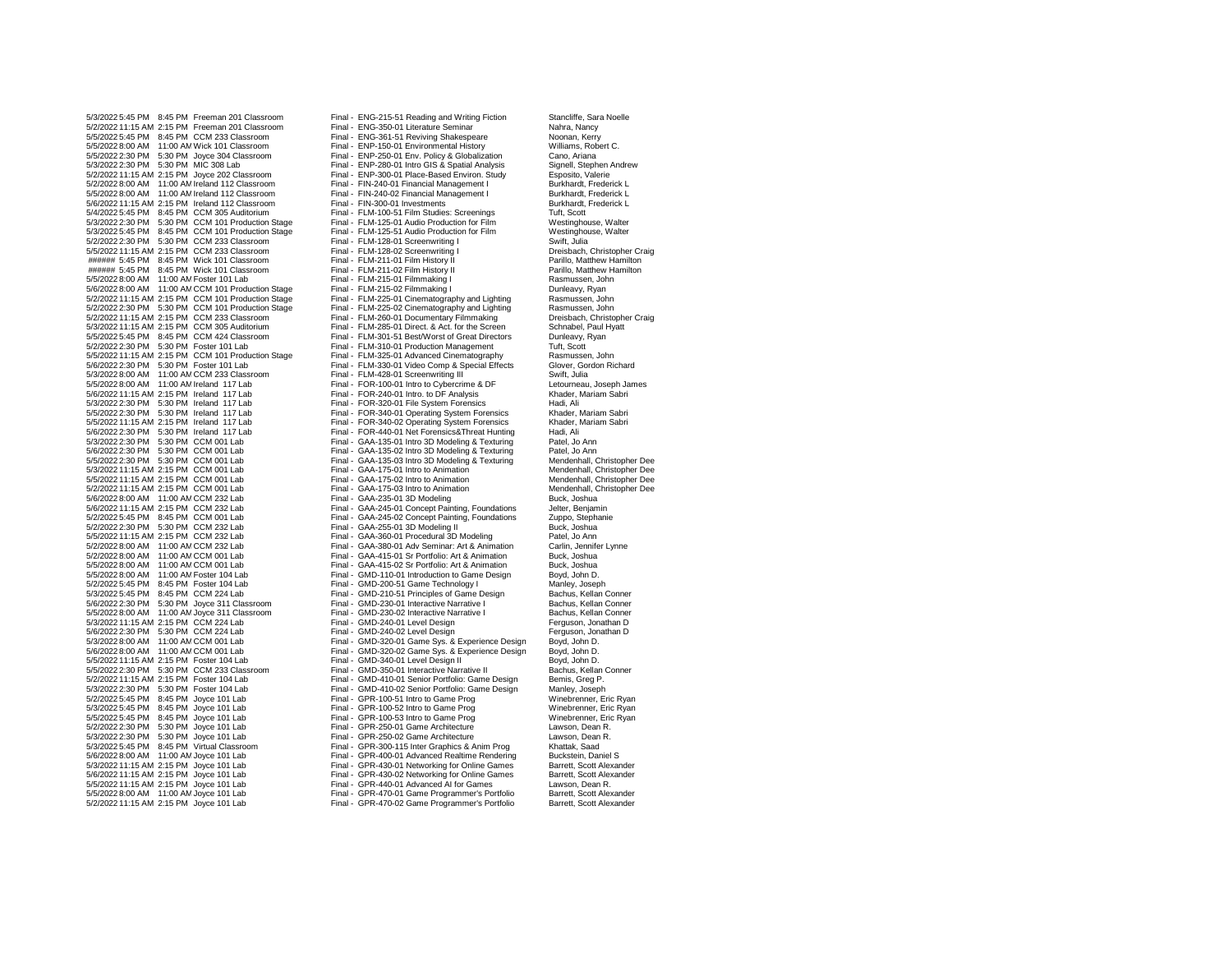5/3/2022 5:45 PM 8:45 PM Freeman 201 Classroom Final - ENG-215-51 Reading and Writing Fiction Stancliffe, Sara Noelle<br>5/2/2022 11:15 AM 2:15 PM Freeman 201 Classroom Final - ENG-350-01 Literature Seminar Nahra, Nahra, Nanc 5/2/2022 11:15 AM 2:15 PM Freeman 201 Classroom Final - ENG-350-01 Literature Seminar Channel Nahra, Nancy<br>5/5/2022 5:45 PM 8:45 PM CCM 233 Classroom Final - ENG-361-51 Reviving Shakespeare Noonan, Kerry 5/5/2022 5:45 PM 8:45 PM CCM 233 Classroom Final - ENG-361-51 Reviving Shakespeare Noonan, Kerry<br>5/5/2022 8:00 AM 11:00 AM Wick 101 Classroom Final - ENP-150-01 Environmental History Williams, Robert C. 5/5/2022 8:00 AM 11:00 AMWick 101 Classroom Final - ENP-150-01 Environmental History Williams, Robert C. 5/5/2022 2:30 PM 5:30 PM Joyce 304 Classroom Final - ENP-250-01 Env. Policy & Globalization Cano, Ariana<br>5/3/2022 2:30 PM 5:30 PM MIC 308 Lab Final - ENP-280-01 Intro GIS & Soatial Analysis Signell. Stephen Andrew 5/2/2022 11:15 AM 2:15 PM Joyce 202 Classroom Final - ENP-300-01 Place-Based Environ. Study Esposito, Valerie 5/2/2022 8:00 AM 11:00 AMIreland 112 Classroom Final - FIN-240-01 Financial Management I Burkhardt, Frederick L 5/5/2022 8:00 AM 11:00 AMIreland 112 Classroom Final - FIN-240-02 Financial Management I Burkhardt, Frederick L 5/6/2022 11:15 AM 2:15 PM Ireland 112 Classroom Final - FIN-300-01 Investments Burkhardt,<br>5/4/2022 5:45 PM 8:45 PM CCM 305 Auditorium Final - FLM-100-51 Film Studies: Screenings Tutt Scott 5/4/2022 5:45 PM 8:45 PM CCM 305 Auditorium Final - FLM-100-51 Film Studies: Screenings Tuft, Scott<br>5/3/2022 2:30 PM 5:30 PM CCM 101 Production Stage Final - FLM-125-01 Audio Production for Film Westinghouse. Walter 5/3/2022 2:30 PM 5:30 PM CCM 101 Production Stage Final - FLM-125-01 Audio Production for Film Westinghouse, Walter 5/3/2022 5:45 PM 8:45 PM CCM 101 Production Stage Final - FLM-125-51 Audio Production for Film Westinghouse Final - FLM-128-01 Screenwriting I<br>5/2/2022 2:30 PM 5:30 PM CCM 233 Classroom Final - FLM-128-01 Screenwriting I S 5/2/2022 2:30 PM 5:30 PM CCM 233 Classroom Final - FLM-128-01 Screenwriting I Swift, Julia 5/5/2022 11:15 AM 2:15 PM CCM 233 Classroom Final - FLM-128-02 Screenwriting I Dreisbach, Christopher Craighter Craighter Craighter Craighter Craighter Craighter Craighter Craighter Craighter Craighter Craighter Craighter ###### 5:45 PM 8:45 PM Wick 101 Classroom Final - FLM-211-01 Film History II Parillo, Matthew Hamilton ###### 5:45 PM 8:45 PM Wick 101 Classroom Final - FLM-211-02 Film History II Parillo, Matthew Hamilton 5/5/2022 8:00 AM 11:00 AM Foster 101 Lab Final - Final - FLM-215-01 Filmmaking I Rasmussen, John Rasmussen, John Rasmussen, John Rasmussen, John Rasmussen, John Rasmussen, John Rasmussen, John Rasmussen, John Rasmussen, Jo 5/6/2022 8:00 AM 11:00 AM CCM 101 Production Stage Final - FLM-215-02 Filmmaking I<br>5/2/2022 11:15 AM 2:15 PM CCM 101 Production Stage Final - FLM-225-01 Cinematography and Lighting Rasmussen, John 5/2/2022 2:30 PM 5:30 PM CCM 101 Production Stage Final - FLM-225-02 Cinematography and Lighting Rasmussen, John 5/2/2022 11:15 AM 2:15 PM CCM 233 Classroom Final - FLM-260-01 Documentary Filmmaking Dreisbach, Christopher C<br>5/3/2022 11:15 AM 2:15 PM CCM 305 Auditorium Final - FLM-285-01 Direct. & Act. for the Screen Schnabel, Paul Hy 5/3/2022 11:15 AM 2:15 PM CCM 305 Auditorium Final - FLM-285-01 Direct. & Act. for the Screen Schnabel, Paul I<br>5/5/2022 5:45 PM 8:45 PM CCM 424 Classroom Final - FLM-301-51 Best/Worst of Great Directors Dunleavy, Ryan 5/5/2022 5:45 PM 8:45 PM CCM 424 Classroom Final - FLM-301-51 Best/Worst of Great Directors Dunleavy,<br>5/2/2022 2:30 PM 5:30 PM Foster 101 Lab Final - FLM-310-01 Production Management Tuft. Scott 5/5/2022 11:15 AM 2:15 PM CCM 101 Production Stage Final - FLM-325-01 Advanced Cinematography Rasmussen, John 5/3/2022 8:00 AM 11:00 AM CCM 233 Classroom Final - FLM-428-01 Screenwriting III Swift, Julia<br>5/5/2022 8:00 AM 11:00 AM Ireland 117 Lab Final - FOR-100-01 Intro to Cybercrime & DF Letourneau, Joseph James 5/6/2022 11:15 AM 2:15 PM Ireland 117 Lab Final - FOR-240-01 Intro. to DF Analysis Khader, Khader, Mariam Sabri<br>5/3/2022 2:30 PM 5:30 PM Ireland 117 Lab Final - FOR-320-01 File System Forensics Hadi. Ali 5/3/2022 2:30 PM 5:30 PM Ireland 117 Lab Final - FOR-320-01 File System Forensics Hadi, Ali<br>5/5/2022 2:30 PM 5:30 PM Ireland 117 Lab Final - FOR-340-01 Operating System Forensics Khader Mariam Sabri 5/5/2022 2:30 PM 5:30 PM Ireland 117 Lab Final - FOR-340-01 Operating System Forensics Khader, Mariam Sabri<br>5/5/2022 11:15 AM 2:15 PM Ireland 117 Lab Final - FOR-340-02 Operating System Forensics Khader, Mariam Sabri 5/6/2022 2:30 PM 5:30 PM Ireland 117 Lab Funal - FOR-440-01 Net Forensics&Threat Hunting Hadi, Ali<br>5/3/2022 2:30 PM 5:30 PM CCM 001 Lab Final - GAA-135-01 Intro 3D Modeling & Texturing Patel, Jo Ann 5/3/2022 2:30 PM 5:30 PM CCM 001 Lab Final - GAA-135-01 Intro 3D Modeling & Texturing Patel, Jo Ann<br>5/6/2022 2:30 PM 5:30 PM CCM 001 Lab Final - GAA-135-02 Intro 3D Modeling & Texturing Patel, Jo Ann 5/6/2022 2:30 PM 5:30 PM CCM 001 Lab Final - GAA-135-02 Intro 3D Modeling & Texturing Patel, Jo Ann<br>5/5/2022 2:30 PM 5:30 PM CCM 001 Lab Final - GAA-135-03 Intro 3D Modeling & Texturing Mendenhall, Christopher Dee 5/3/2022 11:15 AM 2:15 PM CCM 001 Lab Final - GAA-175-01 Intro to Animation Mendenhall, Christopher Dee<br>5/5/2022 11:15 AM 2:15 PM CCM 001 Lab Final - GAA-175-02 Intro to Animation Mendenhall, Christopher Dee 5/5/2022 11:15 AM 2:15 PM CCM 001 Lab Final - GAA-175-02 Intro to Animation Mendenhall, Christopher Dee<br>5/2/2022 11:15 AM 2:15 PM CCM 001 Lab Final - GAA-175-03 Intro to Animation Mendenhall, Christopher Dee 5/2/2022 11:15 AM 2:15 PM CCM 001 Lab Final - GAA-175-03 Intro to Animation Mendenhall, C<br>5/6/2022 8:00 AM 11:00 AM CCM 232 Lab Final - GAA-235-01 3D Modeling CHR CHR, Joshua 5/6/2022 8:00 AM 11:00 AM CCM 232 Lab Final - GAA-235-01 3D Modeling Foundations Buck, Joshua<br>5/6/2022 11:15 AM 2:15 PM CCM 232 Lab Final - GAA-245-01 Concept Painting, Foundations Jelter, Benjamin 5/6/2022 11:15 AM 2:15 PM CCM 232 Lab Final - GAA-245-01 Concept Painting, Foundations Jelter, Benjamin 5/2/2022 2:30 PM 5:30 PM CCM 232 Lab Final - GAA-255-01 3D Modeling II Buck, Joshua 5/5/2022 11:15 AM 2:15 PM CCM 232 Lab Final - GAA-360-01 Procedural 3D Modeling Patel, Jo Ann 5/2/2022 8:00 AM 11:00 AM CCM 232 Lab Final - GAA-380-01 Adv Seminar: Art & Animation Carlin, Jennifer Laborat<br>5/2/2022 8:00 AM 11:00 AM CCM 001 Lab Final - GAA-415-01 Sr Portfolio: Art & Animation Buck, Joshua 5/2/2022 8:00 AM 11:00 AMCCM 001 Lab Final - GAA-415-01 Sr Portfolio: Art & Animation Buck, Joshua 5/5/2022 8:00 AM 11:00 AMFoster 104 Lab Final - GMD-110-01 Introduction to Game Design Boyd, John D. 5/2/2022 5:45 PM 8:45 PM Foster 104 Lab Final - GMD-200-51 Game Technology I Manley, Joseph 5/6/2022 2:30 PM 5:30 PM Joyce 311 Classroom Final - GMD-230-01 Interactive Narrative I Bachus, Kellan Conner<br>5/5/2022 8:00 AM 11:00 AM Joyce 311 Classroom Final - GMD-230-02 Interactive Narrative I Bachus, Kellan Conner 5/5/2022 8:00 AM 11:00 AM Joyce 311 Classroom Final - GMD-230-02 Interactive Narrative I Bachus, Kellan Conner<br>5/3/2022 11:15 AM 2:15 PM CCM 224 Lab CM Final - GMD-240-01 Level Design CHT Ferguson, Jonathan D 5/3/2022 11:15 AM 2:15 PM CCM 224 Lab Final - GMD-240-01 Level Design Ferguson, Jonathan D<br>5/6/2022 2:30 PM 5:30 PM CCM 224 Lab Final - GMD-240-02 Level Design Ferguson, Jonathan D 5/6/2022 2:30 PM 5:30 PM CCM 224 Lab Final - GMD-240-02 Level Design Ferguson, Jonathan CCM 224 Lab Final - GMD-240-02 Level Design Ferguson, Jonathan Design Ferguson, Jonathan Design Ferguson, Jonathan Design Ferguson, Jo 5/3/2022 8:00 AM 11:00 AMCCM 001 Lab Final - GMD-320-01 Game Sys. & Experience Design Boyd, John D. 5/5/2022 11:15 AM 2:15 PM Foster 104 Lab Final - GMD-340-01 Level Design II Boyd, John D.<br>5/5/2022 2:30 PM 5:30 PM CCM 233 Classroom Final - GMD-350-01 Interactive Narrative II Bachus, Kellan Conner 5/5/2022 2:30 PM 5:30 PM CCM 233 Classroom Final - GMD-350-01 Interactive Narrative II Bachus, Kellan GVB/2022<br>5/2/2022 11:15 AM 2:15 PM Foster 104 Lab Final - GMD-410-01 Senior Portfolio: Game Design Bemis, Greg P. 5/2/2022 11:15 AM 2:15 PM Foster 104 Lab Final - GMD-410-01 Senior Portfolio: Game Design Bemis, Greg P.<br>5/3/2022 2:30 PM 5:30 PM Foster 104 Lab Final - GMD-410-02 Senior Portfolio: Game Design Manley, Joseph 5/2/2022 5:45 PM 8:45 PM Joyce 101 Lab Final - GPR-100-51 Intro to Game Prog Winebrenner, Eric Ryan 5/3/2022 5:45 PM 8:45 PM Joyce 101 Lab Final - GPR-100-52 Intro to Game Prog Winebrenner, Eric Ryan 5/5/2022 5:45 PM 8:45 PM Joyce 101 Lab Final - GPR-100-53 Intro to Game Prog Winebrenner, Eric<br>5/2/2022 2:30 PM 5:30 PM Joyce 101 Lab Final - GPR-250-01 Game Architecture Lawson, Dean R. 5/2/2022 2:30 PM 5:30 PM Joyce 101 Lab Final - GPR-250-01 Game Architecture Lawson, Dean R.<br>5/3/2022 2:30 PM 5:30 PM Joyce 101 Lab Final - GPR-250-02 Game Architecture Lawson, Dean R. 5/3/2022 2:30 PM 5:30 PM Joyce 101 Lab Final - GPR-250-02 Game Architecture Lawson, Dean Lawson, Dean Final - GPR-300-115 Inter Granhics & Anim Pron Khattak Saad 5/3/2022 5:45 PM 8:45 PM Virtual Classroom Final - GPR-300-115 Inter Graphics & Anim Prog Khattak, Saad<br>5/6/2022 8:00 AM 11:00 AM Jovce 101 Lab Final - GPR-400-01 Advanced Realtime Rendering Buckstein. Daniel S 5/6/2022 8:00 AM 11:00 AM Joyce 101 Lab Final - GPR-400-01 Advanced Realtime Rendering Buckstein, Daniel S<br>5/3/2022 11:15 AM 2:15 PM Joyce 101 Lab Final - GPR-430-01 Networking for Online Games Barrett. Scott Alexander 5/3/2022 11:15 AM 2:15 PM Joyce 101 Lab Final - GPR-430-01 Networking for Online Games Barrett, Scott Alexander<br>16/2022 11:15 AM 2:15 PM Joyce 101 Lab Final - GPR-430-02 Networking for Online Games Barrett, Scott Alexander 5/6/2022 11:15 AM 2:15 PM Joyce 101 Lab Final - GPR-430-02 Networking for Online Games<br>5/5/2022 11:15 AM 2:15 PM Joyce 101 Lab Final - GPR-440-01 Advanced AI for Games 5/5/2022 11:15 AM 2:15 PM Joyce 101 Lab Final - GPR-440-01 Advanced AI for Games Lawson, Dean R.<br>5/5/2022 8:00 AM 11:00 AM Joyce 101 Lab Final - GPR-470-01 Game Programmer's Portfolio Barrett, Scott Alexander 5/5/2022 8:00 AM 11:00 AMJoyce 101 Lab Final - GPR-470-01 Game Programmer's Portfolio Barrett, Scott Alexander

Final - ENP-280-01 Intro GIS & Spatial Analysis Signell, Stephen<br>
Final - ENP-300-01 Place-Based Environ, Study Signell, Stephen Final - E.M. 225-01 Cinematography and Lighting Rasmussen, John<br>Final - FLM-225-02 Cinematography and Lighting Rasmussen, John Final - FLM-310-01 Production Management Tuft, Scott<br>Final - FLM-325-01 Advanced Cinematography Rasmussen, John Final - FLM-330-01 Video Comp & Special Effects Glover, Gor<br>
Final - FLM-428-01 Screenwriting III Glover, Gordon Richard Blow Richard Final - FOR-100-01 Intro to Cybercrime & DF Letourneau, Joseph James Final - FOR-240-01 Intro to DF Analysis Chroness Charles Charles Khader. Mariam Sabri Final - FOR-340-02 Operating System Forensics Khader, I<br>Final - FOR-440-01 Net Forensics&Threat Hunting Hadi, Ali Final - GAA-135-03 Intro 3D Modeling & Texturing Mendenhall, Christopher Dee<br>Final - GAA-175-01 Intro to Animation Mendenhall, Christopher Dee Final - GAA-245-02 Concept Painting, Foundations Zuppo, Stephanie Zuppo, Stephanie Rab Final - GAA-255-01 3D Modeling II Final - GAA-415-02 Sr Portfolio: Art & Animation Buck, Joshua<br>5.00 Final - GMD-110-01 Introduction to Game Design Boyd, John D. Final - GMD-210-51 Principles of Game Design Bachus, Kellan Conner<br>
Final - GMD-230-01 Interactive Narrative I Bachus, Kellan Conner Final - GMD-320-02 Game Sys. & Experience Design Boyd, John D.<br>5.00 Final - GMD-340-01 Level Design II Boyd, John D. Final - GMD-410-02 Senior Portfolio: Game Design Manley, Joseph<br>
Final - GPR-100-51 Intro to Game Progne Manuel Minebrenner, Fric Ryan Final - GPR-470-02 Game Programmer's Portfolio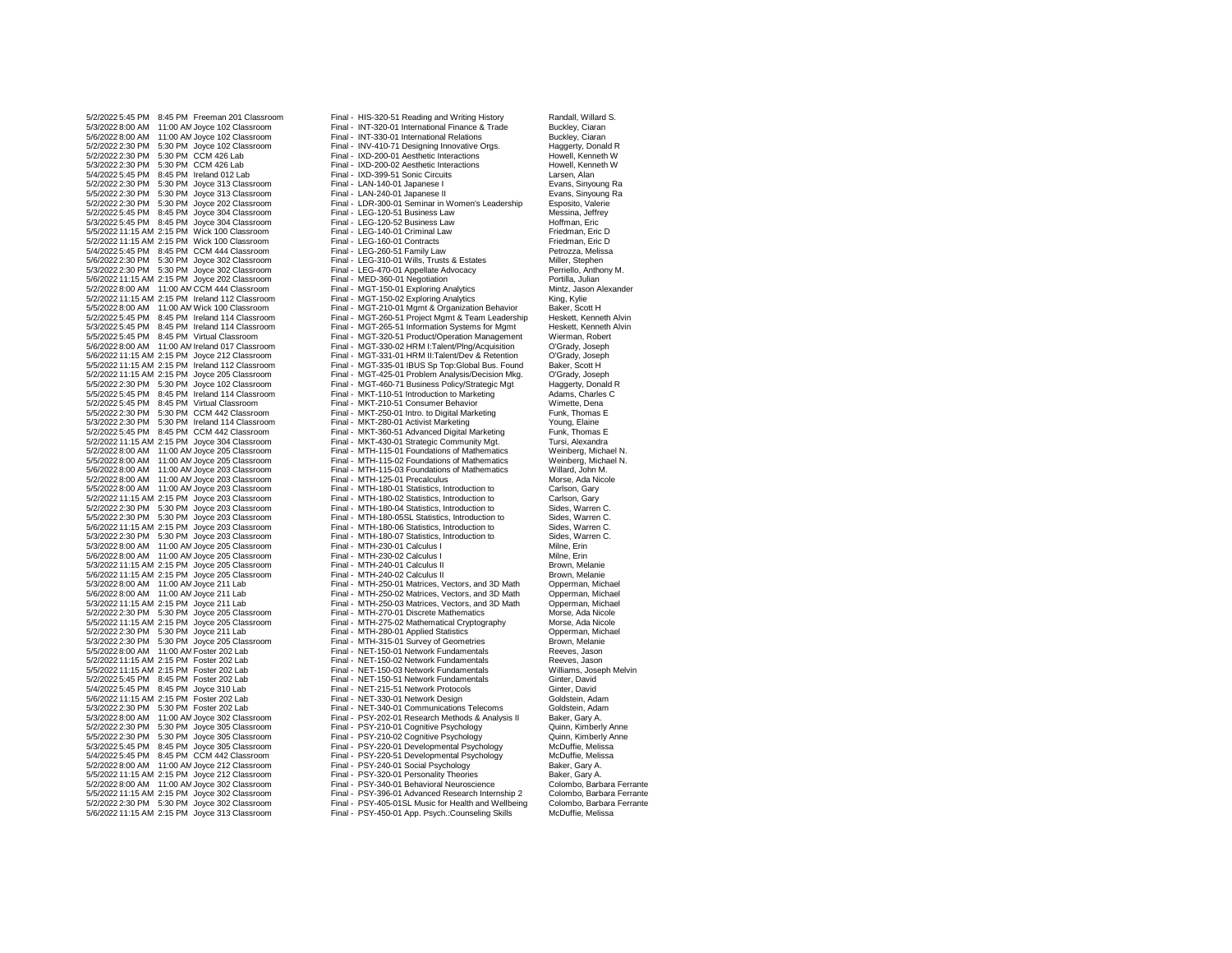5/3/2022 8:00 AM 11:00 AMJoyce 102 Classroom Final - INT-320-01 International Finance & Trade Buckley, Ciaran 5/6/2022 8:00 AM 11:00 AM Joyce 102 Classroom Final - INT-330-01 International Relations Buckley, Ciaran Buckley, Ciaran Final - INT-330-01 International Relations Buckley, Ciaran Buckley, Ciaran Final - INV-410-71 Designi 5/2/2022 2:30 PM 5:30 PM Joyce 102 Classroom Final - INV-410-71 Designing Innovative Orgs. Haggerty, Donald R<br>5/2/2022 2:30 PM 5:30 PM CCM 426 Lab Call States Final - IXD-200-01 Aesthetic Interactions Howell. Kenneth W 5/2/2022 2:30 PM 5:30 PM CCM 426 Lab Final - IXD-200-01 Aesthetic Interactions Final Howell, Kenneth W<br>1991 - Final - IXD-200-02 Aesthetic Interactions Howell, Kenneth W 5/3/2022 2:30 PM 5:30 PM CCM 426 Lab Final - IXD-200-02 Aesthetic Interactions Foundal, Kenneth West Howell, Kenneth West Final - IXD-399-51 Sonic Circuits (States Larsen, Alan 5/4/2022 5:45 PM 8:45 PM Ireland 012 Lab Final - IXD-399-51 Sonic Circuits Larsen, Alan Larsen, Alan Evans, Sinyoung Ra<br>5/2/2022 2:30 PM 5:30 PM Joyce 313 Classroom Final - LAN-140-01 Japanese I Final - Letters, Sinyoung R 5/2/2022 2:30 PM 5:30 PM Joyce 313 Classroom Final - LAN-140-01 Japanese I Evans, Sinyoung Ra 5/5/2022 2:30 PM 5:30 PM Joyce 313 Classroom Final - LAN-240-01 Japanese II For Frans, Sinyoung Evans, Sinyoung<br>5/2/2022 2:30 PM 5:30 PM Joyce 202 Classroom Final - LDR-300-01 Seminar in Women's Leadership Esposito, Valeri 5/2/2022 5:45 PM 8:45 PM Joyce 304 Classroom Final - LEG-120-51 Business Law Messina, Jeffrey Messina, Jeffrey<br>5/3/2022 5:45 PM 8:45 PM Joyce 304 Classroom Final - LEG-120-52 Business Law Hoffman. Eric 5/3/2022 5:45 PM 8:45 PM Joyce 304 Classroom Final - LEG-120-52 Business Law Hoffman, Eric 5/5/2022 11:15 AM 2:15 PM Wick 100 Classroom Final - LEG-140-01 Criminal Law Friedman, Eric D 5/2/2022 11:15 AM 2:15 PM Wick 100 Classroom Final - LEG-160-01 Contracts Friedman, Eric D 5/4/2022 5:45 PM 8:45 PM CCM 444 Classroom Final - LEG-260-51 Family Law Petrozza, Meliss<br>5/6/2022 2:30 PM 5:30 PM Joyce 302 Classroom Final - LEG-310-01 Wills, Trusts & Estates Miller, Stephen 5/6/2022 2:30 PM 5:30 PM Joyce 302 Classroom Final - LEG-310-01 Wills, Trusts & Estates Miller, Stephen 5/3/2022 2:30 PM 5:30 PM Joyce 302 Classroom Final - LEG-470-01 Appellate Advocacy Perriello, Anthony Perriello, Anthony Final MED-360-01 Negotiation Perriello, Anthony Perriello, Anthony M. Final - MED-360-01 Negotiation 5/6/2022 11:15 AM 2:15 PM Joyce 202 Classroom Final - MED-360-01 Negotiation Portilla, Julian 5/2/2022 8:00 AM 11:00 AM CCM 444 Classroom Final - MGT-150-01 Exploring Analytics Mintz, Jason Mintz, Jason A<br>5/2/2022 11:15 AM 2:15 PM Ireland 112 Classroom Final - MGT-150-02 Exploring Analytics King, Kylie 5/2/2022 11:15 AM 2:15 PM Ireland 112 Classroom Final - MGT-150-02 Exploring Analytics King, Kylie 5/5/2022 8:00 AM 11:00 AM Wick 100 Classroom Final - MGT-210-01 Mgmt & Organization Behavior Baker, Scott H<br>5/2/2022 5:45 PM 8:45 PM Ireland 114 Classroom Final - MGT-260-51 Project Mgmt & Team Leadership Heskett, Kenneth 5/2/2022 5:45 PM 8:45 PM Ireland 114 Classroom Final - MGT-260-51 Project Mgmt & Team Leadership Heskett, Kenneth Alvin 5/3/2022 5:45 PM 8:45 PM Ireland 114 Classroom Final - MGT-265-51 Information Systems for Mgmt Heskett, Kenneth Heskett, Kenneth Alvinner Final - MGT-320-51 Product/Operation Management Wierman, Robert 5/5/2022 5:45 PM 8:45 PM Virtual Classroom Final - MGT-320-51 Product/Operation Management Wierman, Robert 5/6/2022 8:00 AM 11:00 AMIreland 017 Classroom Final - MGT-330-02 HRM I:Talent/Plng/Acquisition O'Grady, Joseph 5/6/2022 11:15 AM 2:15 PM Joyce 212 Classroom Final - MGT-331-01 HRM II:Talent/Dev & Retention O'Grady, Joseph 5/5/2022 11:15 AM 2:15 PM Ireland 112 Classroom Final - MGT-335-01 IBUS Sp Top:Global Bus. Found Baker, Scott H 5/2/2022 11:15 AM 2:15 PM Joyce 205 Classroom Final - MGT-425-01 Problem Analysis/Decision Mkg. O'Grady, Joseph 5/5/2022 2:30 PM 5:30 PM Joyce 102 Classroom Final - MGT-460-71 Business Policy/Strategic Mgt Haggerty, Donald H<br>5/5/2022 5:45 PM 8:45 PM Ireland 114 Classroom Final - MKT-110-51 Introduction to Marketing Adams. Charles C 5/2/2022 5:45 PM 8:45 PM Virtual Classroom Final - MKT-210-51 Consumer Behavior Wimette, Dena 5/5/2022 2:30 PM 5:30 PM CCM 442 Classroom Final - MKT-250-01 Intro. to Digital Marketing Funk, Thomas Funk, Thomas Example 114 Classroom Final - MKT-280-01 Activist Marketing Funk, Thomas Elaine 5/3/2022 2:30 PM 5:30 PM Ireland 114 Classroom Final - MKT-280-01 Activist Marketing Young, Elaine<br>5/2/2022 5:45 PM 8:45 PM CCM 442 Classroom Final - MKT-360-51 Advanced Digital Marketing Funk, Thomas E 5/2/2022 5:45 PM 8:45 PM CCM 442 Classroom Final - MKT-360-51 Advanced Digital Marketing Funk, Thomas E 5/2/2022 11:15 AM 2:15 PM Joyce 304 Classroom Final - MKT-430-01 Strategic Community Mgt. Tursi, Alexandra<br>5/2/2022 8:00 AM 11:00 AM Joyce 205 Classroom Final - MTH-115-01 Foundations of Mathematics Weinberg, Michael N 5/2/2022 8:00 AM 11:00 AMJoyce 205 Classroom Final - MTH-115-01 Foundations of Mathematics Weinberg, Michael N. 5/5/2022 8:00 AM 11:00 AM Joyce 205 Classroom Final - MTH-115-02 Foundations of Mathematics Weinberg, Michael News<br>5/6/2022 8:00 AM 11:00 AM Joyce 203 Classroom Final - MTH-115-03 Foundations of Mathematics Willard. John M 5/6/2022 8:00 AM 11:00 AMJoyce 203 Classroom Final - MTH-115-03 Foundations of Mathematics Willard, John M. 5/2/2022 8:00 AM 11:00 AM Joyce 203 Classroom Final - MTH-125-01 Precalculus Morse, Ada Nicole Ada Nicole 3/5/<br>5/5/2022 8:00 AM 11:00 AM Joyce 203 Classroom Final - MTH-180-01 Statistics, Introduction to Carlson, Gary 5/5/2022 8:00 AM 11:00 AMJoyce 203 Classroom Final - MTH-180-01 Statistics, Introduction to Carlson, Gary 5/2/2022 11:15 AM 2:15 PM Joyce 203 Classroom Final - MTH-180-02 Statistics, Introduction to Carlson, Gary<br>5/2/2022 2:30 PM 5:30 PM Joyce 203 Classroom Final - MTH-180-04 Statistics, Introduction to Sides, Warren C. 5/2/2022 2:30 PM 5:30 PM Joyce 203 Classroom Final - MTH-180-04 Statistics, Introduction to Sides, Warren C. 5/5/2022 2:30 PM 5:30 PM Joyce 203 Classroom Final - MTH-180-05SL Statistics, Introduction to Sides, Warren C. 5/6/2022 11:15 AM 2:15 PM Joyce 203 Classroom Final - MTH-180-06 Statistics, Introduction to Sides, Warren C. 5/3/2022 2:30 PM 5:30 PM Joyce 203 Classroom Final - MTH-180-07 Statistics, Introduction to Sides, Warren C. 5/3/2022 8:00 AM 11:00 AMJoyce 205 Classroom Final - MTH-230-01 Calculus I Milne, Erin 5/6/2022 8:00 AM 11:00 AMJoyce 205 Classroom Final - MTH-230-02 Calculus I Milne, Erin 5/3/2022 11:15 AM 2:15 PM Joyce 205 Classroom Final - MTH-240-01 Calculus II Brown, Melanie 5/6/2022 11:15 AM 2:15 PM Joyce 205 Classroom Final - MTH-240-02 Calculus II Brown, Melanie 5/3/2022 8:00 AM 11:00 AM Joyce 211 Lab Final - MTH-250-01 Matrices, Vectors, and 3D Math Opperman, Michael<br>5/6/2022 8:00 AM 11:00 AM Joyce 211 Lab Final - MTH-250-02 Matrices, Vectors, and 3D Math Opperman, Michael 5/6/2022 8:00 AM 11:00 AM Joyce 211 Lab Final - MTH-250-02 Matrices, Vectors, and 3D Math Opperman, Michael<br>5/3/2022 11:15 AM 2:15 PM Joyce 211 Lab Final - MTH-250-03 Matrices, Vectors, and 3D Math Opperman, Michael 5/2/2022 2:30 PM 5:30 PM Joyce 205 Classroom Final - MTH-270-01 Discrete Mathematics Morse, Ada Nicole<br>5/5/2022 11:15 AM 2:15 PM Joyce 205 Classroom Final - MTH-275-02 Mathematical Cryptography Morse, Ada Nicole 5/5/2022 11:15 AM 2:15 PM Joyce 205 Classroom Final - MTH-275-02 Mathematical Cryptography Morse, Ada Nicole 5/2/2022 2:30 PM 5:30 PM Joyce 211 Lab Final - MTH-280-01 Applied Statistics Copperman, Michael Copperman, Michael Final - MTH-280-01 Applied Statistics Copperman, Michael Brown. Melanie 5/5/2022 8:00 AM 11:00 AM Foster 202 Lab Final - NET-150-01 Network Fundamentals 6/2/2022 8:00 AM 11:00 AM Foster 202 Lab Final - NET-150-02 Network Fundamentals 5/2/2022 11:15 AM 2:15 PM Foster 202 Lab Final - NET-150-02 Network Fundamentals Reeves, Jason<br>5/5/2022 11:15 AM 2:15 PM Foster 202 Lab Final - NET-150-03 Network Fundamentals Williams, Joseph Melvin 5/5/2022 11:15 AM 2:15 PM Foster 202 Lab Final - NET-150-03 Network Fundamentals Williams, Joseph Mulliams, Joseph Melvin Foster 202 Lab Final - NET-150-51 Network Fundamentals Ginter, David 5/2/2022 5:45 PM 8:45 PM Foster 202 Lab Final - NET-150-51 Network Fundamentals Ginter, David<br>Final - NET-215-51 Network Protocols Ginter David 5/4/2022 5:45 PM 8:45 PM Joyce 310 Lab Final - NET-215-51 Network Protocols Ginter, David 5/6/2022 11:15 AM 2:15 PM Foster 202 Lab Final - NET-330-01 Network Design Coldstein, Adam<br>5/3/2022 2:30 PM 5:30 PM Foster 202 Lab Final - NET-340-01 Communications Telecoms Goldstein. Adam 5/3/2022 2:30 PM 5:30 PM Foster 202 Lab **Final - NET-340-01 Communications Telecoms** Goldstein, Adam<br>5/3/2022 8:00 AM 11:00 AM Joyce 302 Classroom Final - PSY-202-01 Research Methods & Analysis II Baker, Gary A. 5/2/2022 2:30 PM 5:30 PM Joyce 305 Classroom Final - PSY-210-01 Cognitive Psychology Cuinn, Kimberly Anne<br>5/5/2022 2:30 PM 5:30 PM Joyce 305 Classroom Final - PSY-210-02 Cognitive Psychology Quinn, Kimberly Anne 5/5/2022 2:30 PM 5:30 PM Joyce 305 Classroom Final - PSY-210-02 Cognitive Psychology Quinn, Kimberly Archive A<br>5/3/2022 5:45 PM 3:45 PM Joyce 305 Classroom Final - PSY-220-01 Developmental Psychology McDuffie, Melissa 5/3/2022 5:45 PM 8:45 PM Joyce 305 Classroom Final - PSY-220-01 Developmental Psychology McDuffie, Melissa 5/4/2022 5:45 PM 8:45 PM CCM 442 Classroom Final - PSY-220-51 Developmental Psychology McDuffie, Melis<br>5/2/2022 8:00 AM 11:00 AM Jovce 212 Classroom Final - PSY-240-01 Social Psychology Baker. Gary A 5/2/2022 8:00 AM 11:00 AMJoyce 212 Classroom Final - PSY-240-01 Social Psychology Baker, Gary A. 5/5/2022 11:15 AM 2:15 PM Joyce 212 Classroom Final - PSY-320-01 Personality Theories Baker, Gary A.<br>5/2/2022 8:00 AM 11:00 AM Joyce 302 Classroom Final - PSY-340-01 Behavioral Neuroscience Colombo, Barbara Ferrante 5/2/2022 8:00 AM 11:00 AMJoyce 302 Classroom Final - PSY-340-01 Behavioral Neuroscience Colombo, Barbara Ferrante 5/2/2022 2:30 PM 5:30 PM Joyce 302 Classroom Final - PSY-405-01SL Music for Health and Wellbeing Colombo, Barbara<br>5/6/2022 11:15 AM 2:15 PM Joyce 313 Classroom Final - PSY-450-01 App. Psych.:Counseling Skills McDuffie. Mel

5/2/2022 5:45 PM 8:45 PM Freeman 201 Classroom Final - HIS-320-51 Reading and Writing History Randall, Willard S.<br>5/3/2022 8:00 AM 11:00 AM Joyce 102 Classroom Final - INT-320-01 International Finance & Trade Buckley, Ciar Final - LDR-300-01 Seminar in Women's Leadership Esposito, Valerie<br>Final - LEG-120-51 Business Law Messina, Jeffrey Final - MKT-110-51 Introduction to Marketing Adams, Charles Charles Final - MKT-210-51 Consumer Behavior Charles Charles Charles Charles Charles Charles Charles Charles Charles Charles Charles Charles Charles Charles Charl Final - MTH-250-03 Matrices, Vectors, and 3D Math Opperman, Michael<br>
Final - MTH-270-01 Discrete Mathematics Morse, Ada Nicole Final - With 315-01 Survey of Geometries Brown, Melanie<br>
Final - NET-150-01 Network Fundamentals Brown, Meaves, Jason Final - PSY-202-01 Research Methods & Analysis II<br>Final - PSY-210-01 Cognitive Psychology Final - PSY-396-01 Advanced Research Internship 2 Colombo, Barbara Ferrante<br>Final - PSY-405-01SL Music for Health and Wellbeing Colombo, Barbara Ferrante Final - PSY-450-01 App. Psych.:Counseling Skills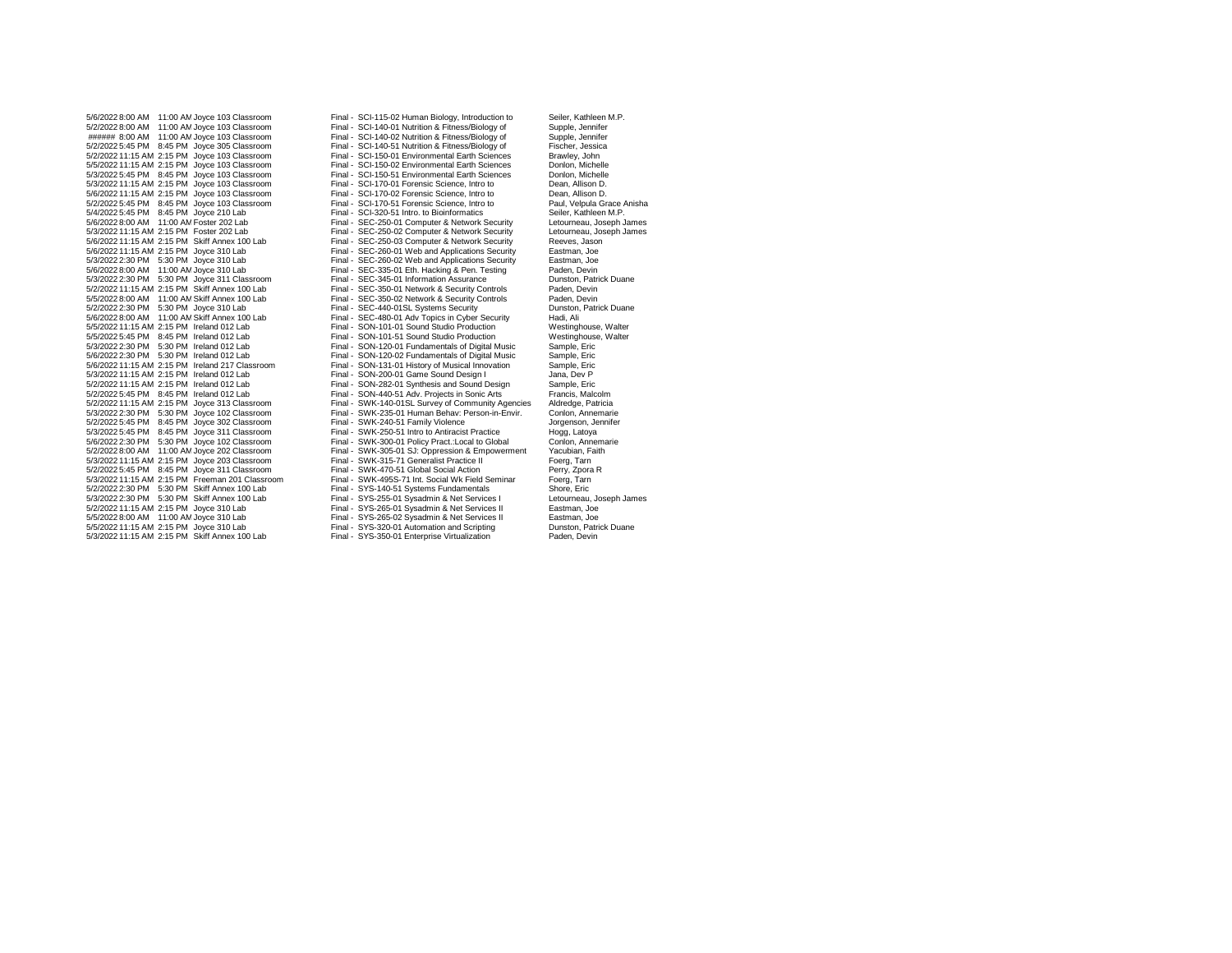5/2/2022 8:00 AM 11:00 AMJoyce 103 Classroom Final - SCI-140-01 Nutrition & Fitness/Biology of Supple, Jennifer ###### 8:00 AM 11:00 AMJoyce 103 Classroom Final - SCI-140-02 Nutrition & Fitness/Biology of Supple, Jennifer 5/2/2022 5:45 PM 8:45 PM Joyce 305 Classroom Final - SCI-140-51 Nutrition & Fitness/Biology of Fischer, Jessica<br>5/2/2022 11:15 AM 2:15 PM Joyce 103 Classroom Final - SCI-150-01 Environmental Earth Sciences Brawley, John 5/2/2022 11:15 AM 2:15 PM Joyce 103 Classroom Final - SCI-150-01 Environmental Earth Sciences Brawley, John 5/5/2022 11:15 AM 2:15 PM Joyce 103 Classroom Final - SCI-150-02 Environmental Earth Sciences Donlon, Michelle 5/3/2022 5:45 PM 8:45 PM Joyce 103 Classroom Final - SCI-150-51 Environmental Earth Sciences Donlon, Michelle 5/3/2022 11:15 AM 2:15 PM Joyce 103 Classroom Final - SCI-170-01 Forensic Science, Intro to Dean, Allison D. 5/6/2022 11:15 AM 2:15 PM Joyce 103 Classroom Final - SCI-170-02 Forensic Science, Intro to Dean, Allison D.<br>5/2/2022 5:45 PM 8:45 PM Joyce 103 Classroom Final - SCI-170-51 Forensic Science, Intro to Paul, Velpula Grace An 5/2/2022 5:45 PM 8:45 PM Joyce 103 Classroom Final - SCI-170-51 Forensic Science, Intro to Paul, Velpula Grace<br>5/4/2022 5:45 PM 8:45 PM Joyce 210 Lab Classroom Final - SCI-320-51 Intro. to Bioinformatics Seiler, Kathleen M 5/4/2022 5:45 PM 8:45 PM Joyce 210 Lab Final - SCI-320-51 Intro. to Bioinformatics Seiler, Kathleen M.P.<br>5/6/2022 8:00 AM 11:00 AM Foster 202 Lab Final - SEC-250-01 Computer & Network Security Letourneau, Joseph James 5/6/2022 8:00 AM 11:00 AMFoster 202 Lab Final - SEC-250-01 Computer & Network Security Letourneau, Joseph James 5/3/2022 11:15 AM 2:15 PM Foster 202 Lab Final - SEC-250-02 Computer & Network Security Letourneau, Joseph James 5/6/2022 11:15 AM 2:15 PM Skiff Annex 100 Lab Final - SEC-250-03 Computer & Network Security Reeves, Jason 5/6/2022 11:15 AM 2:15 PM Joyce 310 Lab Final - SEC-260-01 Web and Applications Security Eastman, Joe 5/3/2022 2:30 PM 5:30 PM Joyce 310 Lab Final - SEC-260-02 Web and Applications Security Eastman, Joe 5/3/2022 2:30 PM 5:30 PM Joyce 311 Classroom Final - SEC-345-01 Information Assurance Dunston, Patrick Duane 5/2/2022 11:15 AM 2:15 PM Skiff Annex 100 Lab Final - SEC-350-01 Network & Security Controls Paden, Devin 5/2/2022 2:30 PM 5:30 PM Joyce 310 Lab Final - SEC-440-01SL Systems Security Bunston, Dunston, Dunston, Patrick Dunston, Patrick Dunston, Patrick Dunston, Patrick Dunston, Patrick Duane Security Bunston, Ali 5/6/2022 8:00 AM 11:00 AM Skiff Annex 100 Lab Final - SEC-480-01 Adv Topics in Cyber Security Hadi, Ali<br>5/5/2022 11:15 AM 2:15 PM Ireland 012 Lab Final - SON-101-01 Sound Studio Production Westinghouse, Walter 5/5/2022 11:15 AM 2:15 PM Ireland 012 Lab Final - SON-101-01 Sound Studio Production Westinghouse, Walter 5/5/2022 5:45 PM 8:45 PM Ireland 012 Lab Final - SON-101-51 Sound Studio Production Westinghouse<br>5/3/2022 2:30 PM 5:30 PM Ireland 012 Lab Final - SON-120-01 Fundamentals of Digital Music Sample, Eric 5/3/2022 2:30 PM 5:30 PM Ireland 012 Lab Final - SON-120-01 Fundamentals of Digital Music Sample, Eric 5/6/2022 11:15 AM 2:15 PM Ireland 217 Classroom Final - SON-131-01 History of Musical Innovation Sample, Eric 5/3/2022 11:15 AM 2:15 PM Ireland 012 Lab Final - SON-200-01 Game Sound Design I Jana, Dev P 5/2/2022 11:15 AM 2:15 PM Ireland 012 Lab Final - SON-282-01 Synthesis and Sound Design Sample, Eric 5/2/2022 5:45 PM 8:45 PM Ireland 012 Lab Final - SON-440-51 Adv. Projects in Sonic Arts Francis, Malcolm 5/2/2022 11:15 AM 2:15 PM Joyce 313 Classroom Final - SWK-140-01SL Survey of Community Agencies Aldredge, Patricia 5/2/2022 5:45 PM 8:45 PM Joyce 302 Classroom Final - SWK-240-51 Family Violence States and Sorgenson, Jennifer<br>5/3/2022 5:45 PM 8:45 PM Joyce 311 Classroom Final - SWK-250-51 Intro to Antiracist Practice Hogg, Latoya 5/3/2022 5:45 PM 8:45 PM Joyce 311 Classroom Final - SWK-250-51 Intro to Antiracist Practice Hogg, Latoya 5/6/2022 2:30 PM 5:30 PM Joyce 102 Classroom Final - SWK-300-01 Policy Pract.:Local to Global Conlon, Annemari<br>5/2/2022 8:00 AM 11:00 AM Joyce 202 Classroom Final - SWK-305-01 SJ: Oppression & Empowerment Yacubian, Faith 5/3/2022 11:15 AM 2:15 PM Joyce 203 Classroom Final - SWK-315-71 Generalist Practice II Foerg, Tarn 5/2/2022 5:45 PM 8:45 PM Joyce 311 Classroom Final - SWK-470-51 Global Social Action Form Perry, 2011 Classroom Final - SWK-495S-71 Int. Social Wk Field Seminar 5/3/2022 11:15 AM 2:15 PM Freeman 201 Classroom Final - SWK-495S-71 Int. Social Wk Field Seminar Foerg, Tarn 5/2/2022 2:30 PM 5:30 PM Skiff Annex 100 Lab Final - SYS-140-51 Systems Fundamentals Shore, Eric 5/3/2022 2:30 PM 5:30 PM Skiff Annex 100 Lab Final - SYS-255-01 Sysadmin & Net Services I Letourneau, Joseph J<br>5/2/2022 11:15 AM 2:15 PM Joyce 310 Lab Final - SYS-265-01 Sysadmin & Net Services II Eastman, Joe 5/2/2022 11:15 AM 2:15 PM Joyce 310 Lab Final - SYS-265-01 Sysadmin & Net Services II Eastman, Joe 5/5/2022 8:00 AM 11:00 AMJoyce 310 Lab Final - SYS-265-02 Sysadmin & Net Services II Eastman, Joe 5/3/2022 11:15 AM 2:15 PM Skiff Annex 100 Lab

5/6/2022 8:00 AM 11:00 AM Joyce 103 Classroom Final - SCI-115-02 Human Biology, Introduction to Seiler, Kathleen M.P.<br>5/2/2022 8:00 AM 11:00 AM Joyce 103 Classroom Final - SCI-140-01 Nutrition & Fitness/Biology of Supple, Final - SEC-335-01 Eth. Hacking & Pen. Testing Paden, Devin<br>
Final - SEC-345-01 Information Assurance Dunston, Patrick Duane Final - SEC-350-02 Network & Security Controls Faden, Devin<br>
Final - SEC-440-01SL Systems Security Controls Paden, Devin<br>
Punston, Patrick Duane Final - SON-120-02 Fundamentals of Digital Music Sample, Eric<br>Final - SON-131-01 History of Musical Innovation Sample, Eric 5/3/2022 2:30 PM 5:30 PM Joyce 102 Classroom Final - SWK-235-01 Human Behav: Person-in-Envir. Conlon, Annemarie Final - SWK-305-01 SJ: Oppression & Empowerment Yacubian, Final - SWK-315-71 Generalist Practice II Foerg, Tam Final - SYS-320-01 Automation and Scripting Dunston, Patrick Pullet and Scripting Dunston, Patrick Dunston, Devin